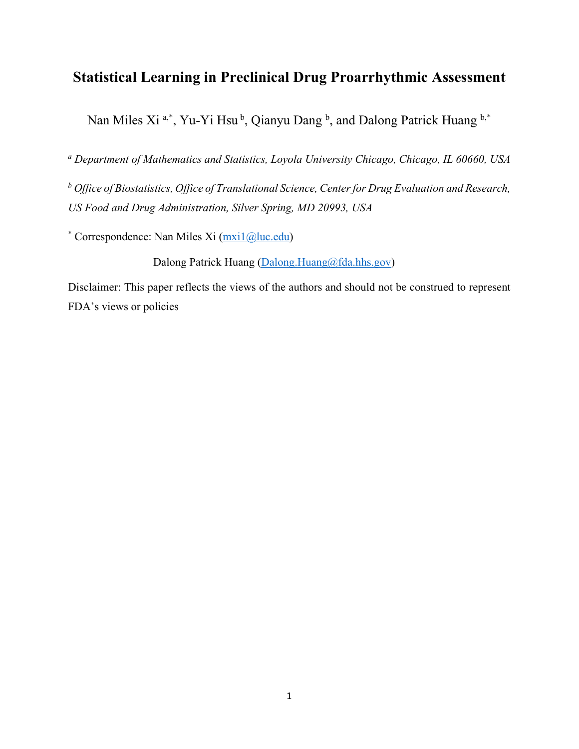# **Statistical Learning in Preclinical Drug Proarrhythmic Assessment**

Nan Miles Xi<sup>a,\*</sup>, Yu-Yi Hsu<sup>b</sup>, Qianyu Dang<sup>b</sup>, and Dalong Patrick Huang b,\*

*<sup>a</sup> Department of Mathematics and Statistics, Loyola University Chicago, Chicago, IL 60660, USA*

*<sup>b</sup> Office of Biostatistics, Office of Translational Science, Center for Drug Evaluation and Research, US Food and Drug Administration, Silver Spring, MD 20993, USA*

\* Correspondence: Nan Miles Xi (mxi1@luc.edu)

Dalong Patrick Huang (Dalong.Huang@fda.hhs.gov)

Disclaimer: This paper reflects the views of the authors and should not be construed to represent FDA's views or policies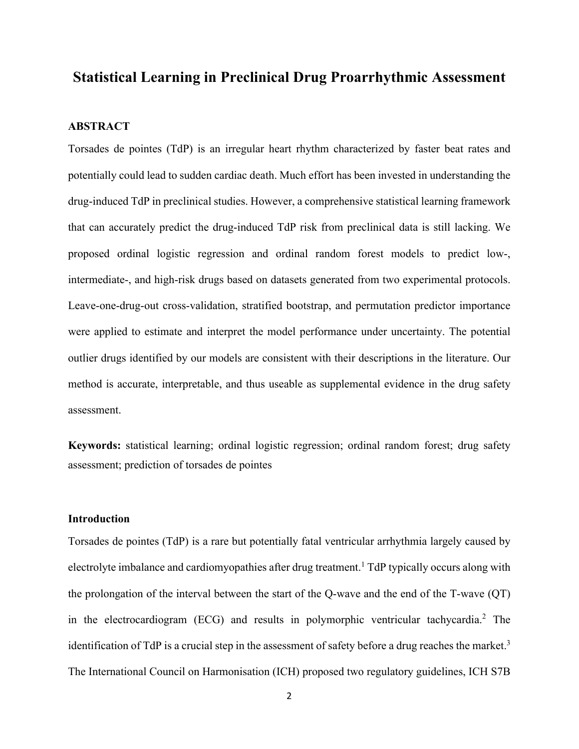## **Statistical Learning in Preclinical Drug Proarrhythmic Assessment**

### **ABSTRACT**

Torsades de pointes (TdP) is an irregular heart rhythm characterized by faster beat rates and potentially could lead to sudden cardiac death. Much effort has been invested in understanding the drug-induced TdP in preclinical studies. However, a comprehensive statistical learning framework that can accurately predict the drug-induced TdP risk from preclinical data is still lacking. We proposed ordinal logistic regression and ordinal random forest models to predict low-, intermediate-, and high-risk drugs based on datasets generated from two experimental protocols. Leave-one-drug-out cross-validation, stratified bootstrap, and permutation predictor importance were applied to estimate and interpret the model performance under uncertainty. The potential outlier drugs identified by our models are consistent with their descriptions in the literature. Our method is accurate, interpretable, and thus useable as supplemental evidence in the drug safety assessment.

**Keywords:** statistical learning; ordinal logistic regression; ordinal random forest; drug safety assessment; prediction of torsades de pointes

#### **Introduction**

Torsades de pointes (TdP) is a rare but potentially fatal ventricular arrhythmia largely caused by electrolyte imbalance and cardiomyopathies after drug treatment.<sup>1</sup> TdP typically occurs along with the prolongation of the interval between the start of the Q-wave and the end of the T-wave (QT) in the electrocardiogram (ECG) and results in polymorphic ventricular tachycardia. <sup>2</sup> The identification of TdP is a crucial step in the assessment of safety before a drug reaches the market.<sup>3</sup> The International Council on Harmonisation (ICH) proposed two regulatory guidelines, ICH S7B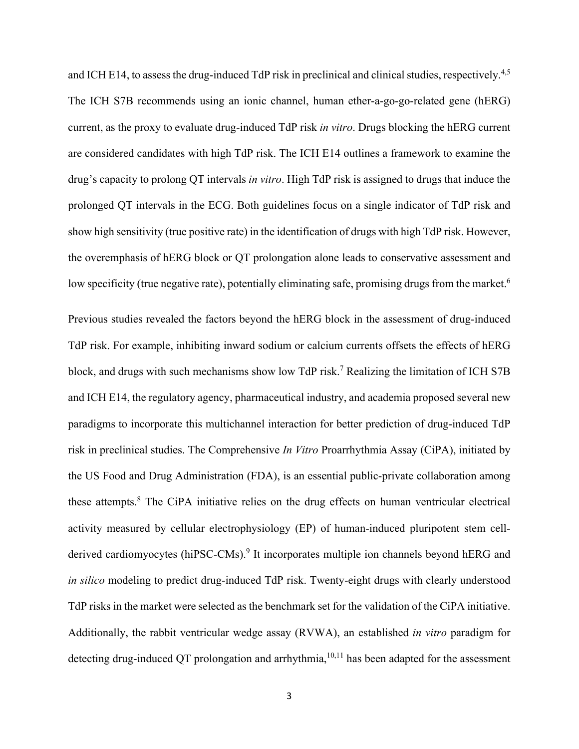and ICH E14, to assess the drug-induced TdP risk in preclinical and clinical studies, respectively.<sup>4,5</sup> The ICH S7B recommends using an ionic channel, human ether-a-go-go-related gene (hERG) current, as the proxy to evaluate drug-induced TdP risk *in vitro*. Drugs blocking the hERG current are considered candidates with high TdP risk. The ICH E14 outlines a framework to examine the drug's capacity to prolong QT intervals *in vitro*. High TdP risk is assigned to drugs that induce the prolonged QT intervals in the ECG. Both guidelines focus on a single indicator of TdP risk and show high sensitivity (true positive rate) in the identification of drugs with high TdP risk. However, the overemphasis of hERG block or QT prolongation alone leads to conservative assessment and low specificity (true negative rate), potentially eliminating safe, promising drugs from the market.<sup>6</sup>

Previous studies revealed the factors beyond the hERG block in the assessment of drug-induced TdP risk. For example, inhibiting inward sodium or calcium currents offsets the effects of hERG block, and drugs with such mechanisms show low TdP risk.<sup>7</sup> Realizing the limitation of ICH S7B and ICH E14, the regulatory agency, pharmaceutical industry, and academia proposed several new paradigms to incorporate this multichannel interaction for better prediction of drug-induced TdP risk in preclinical studies. The Comprehensive *In Vitro* Proarrhythmia Assay (CiPA), initiated by the US Food and Drug Administration (FDA), is an essential public-private collaboration among these attempts.<sup>8</sup> The CiPA initiative relies on the drug effects on human ventricular electrical activity measured by cellular electrophysiology (EP) of human-induced pluripotent stem cellderived cardiomyocytes (hiPSC-CMs).<sup>9</sup> It incorporates multiple ion channels beyond hERG and *in silico* modeling to predict drug-induced TdP risk. Twenty-eight drugs with clearly understood TdP risks in the market were selected as the benchmark set for the validation of the CiPA initiative. Additionally, the rabbit ventricular wedge assay (RVWA), an established *in vitro* paradigm for detecting drug-induced QT prolongation and arrhythmia,  $10,11$  has been adapted for the assessment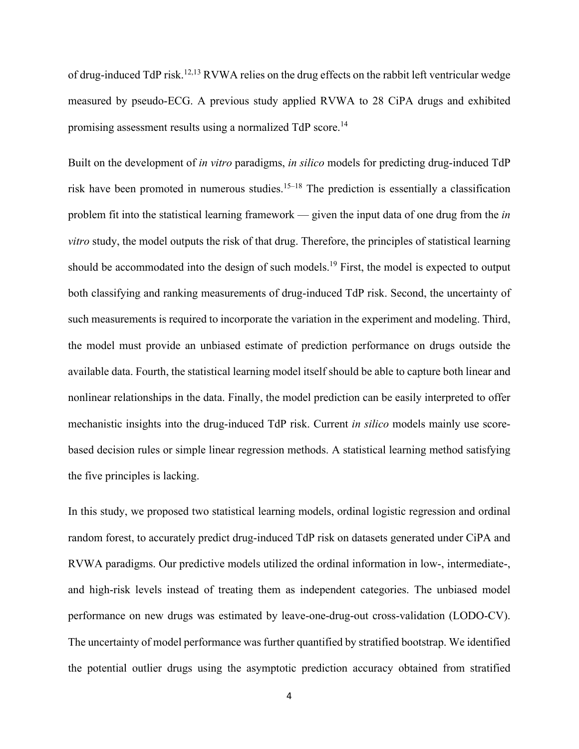of drug-induced TdP risk.<sup>12,13</sup> RVWA relies on the drug effects on the rabbit left ventricular wedge measured by pseudo-ECG. A previous study applied RVWA to 28 CiPA drugs and exhibited promising assessment results using a normalized TdP score.<sup>14</sup>

Built on the development of *in vitro* paradigms, *in silico* models for predicting drug-induced TdP risk have been promoted in numerous studies.<sup>15–18</sup> The prediction is essentially a classification problem fit into the statistical learning framework — given the input data of one drug from the *in vitro* study, the model outputs the risk of that drug. Therefore, the principles of statistical learning should be accommodated into the design of such models.<sup>19</sup> First, the model is expected to output both classifying and ranking measurements of drug-induced TdP risk. Second, the uncertainty of such measurements is required to incorporate the variation in the experiment and modeling. Third, the model must provide an unbiased estimate of prediction performance on drugs outside the available data. Fourth, the statistical learning model itself should be able to capture both linear and nonlinear relationships in the data. Finally, the model prediction can be easily interpreted to offer mechanistic insights into the drug-induced TdP risk. Current *in silico* models mainly use scorebased decision rules or simple linear regression methods. A statistical learning method satisfying the five principles is lacking.

In this study, we proposed two statistical learning models, ordinal logistic regression and ordinal random forest, to accurately predict drug-induced TdP risk on datasets generated under CiPA and RVWA paradigms. Our predictive models utilized the ordinal information in low-, intermediate-, and high-risk levels instead of treating them as independent categories. The unbiased model performance on new drugs was estimated by leave-one-drug-out cross-validation (LODO-CV). The uncertainty of model performance was further quantified by stratified bootstrap. We identified the potential outlier drugs using the asymptotic prediction accuracy obtained from stratified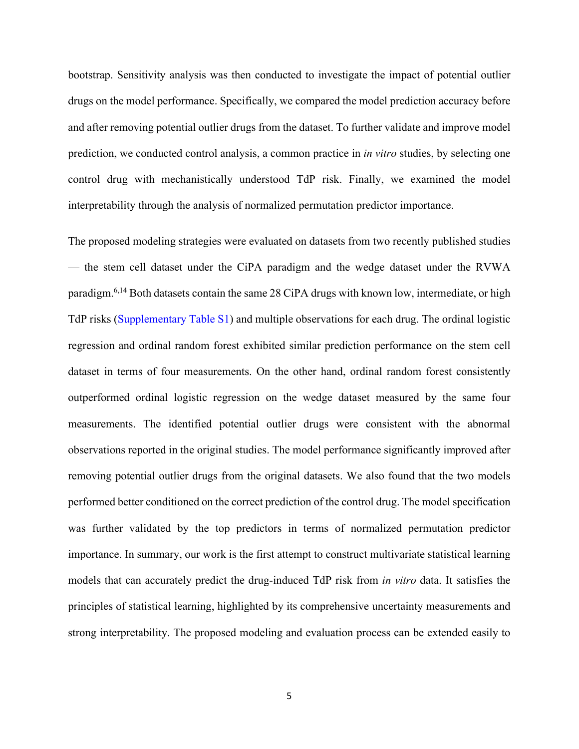bootstrap. Sensitivity analysis was then conducted to investigate the impact of potential outlier drugs on the model performance. Specifically, we compared the model prediction accuracy before and after removing potential outlier drugs from the dataset. To further validate and improve model prediction, we conducted control analysis, a common practice in *in vitro* studies, by selecting one control drug with mechanistically understood TdP risk. Finally, we examined the model interpretability through the analysis of normalized permutation predictor importance.

The proposed modeling strategies were evaluated on datasets from two recently published studies — the stem cell dataset under the CiPA paradigm and the wedge dataset under the RVWA paradigm.<sup>6,14</sup> Both datasets contain the same 28 CiPA drugs with known low, intermediate, or high TdP risks (Supplementary Table S1) and multiple observations for each drug. The ordinal logistic regression and ordinal random forest exhibited similar prediction performance on the stem cell dataset in terms of four measurements. On the other hand, ordinal random forest consistently outperformed ordinal logistic regression on the wedge dataset measured by the same four measurements. The identified potential outlier drugs were consistent with the abnormal observations reported in the original studies. The model performance significantly improved after removing potential outlier drugs from the original datasets. We also found that the two models performed better conditioned on the correct prediction of the control drug. The model specification was further validated by the top predictors in terms of normalized permutation predictor importance. In summary, our work is the first attempt to construct multivariate statistical learning models that can accurately predict the drug-induced TdP risk from *in vitro* data. It satisfies the principles of statistical learning, highlighted by its comprehensive uncertainty measurements and strong interpretability. The proposed modeling and evaluation process can be extended easily to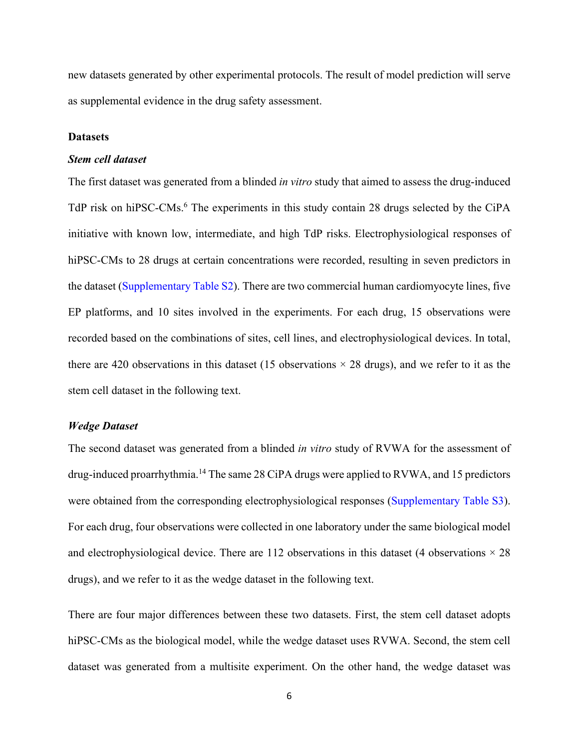new datasets generated by other experimental protocols. The result of model prediction will serve as supplemental evidence in the drug safety assessment.

#### **Datasets**

#### *Stem cell dataset*

The first dataset was generated from a blinded *in vitro* study that aimed to assess the drug-induced TdP risk on hiPSC-CMs. <sup>6</sup> The experiments in this study contain 28 drugs selected by the CiPA initiative with known low, intermediate, and high TdP risks. Electrophysiological responses of hiPSC-CMs to 28 drugs at certain concentrations were recorded, resulting in seven predictors in the dataset (Supplementary Table S2). There are two commercial human cardiomyocyte lines, five EP platforms, and 10 sites involved in the experiments. For each drug, 15 observations were recorded based on the combinations of sites, cell lines, and electrophysiological devices. In total, there are 420 observations in this dataset (15 observations  $\times$  28 drugs), and we refer to it as the stem cell dataset in the following text.

#### *Wedge Dataset*

The second dataset was generated from a blinded *in vitro* study of RVWA for the assessment of drug-induced proarrhythmia.<sup>14</sup> The same 28 CiPA drugs were applied to RVWA, and 15 predictors were obtained from the corresponding electrophysiological responses (Supplementary Table S3). For each drug, four observations were collected in one laboratory under the same biological model and electrophysiological device. There are 112 observations in this dataset (4 observations  $\times$  28 drugs), and we refer to it as the wedge dataset in the following text.

There are four major differences between these two datasets. First, the stem cell dataset adopts hiPSC-CMs as the biological model, while the wedge dataset uses RVWA. Second, the stem cell dataset was generated from a multisite experiment. On the other hand, the wedge dataset was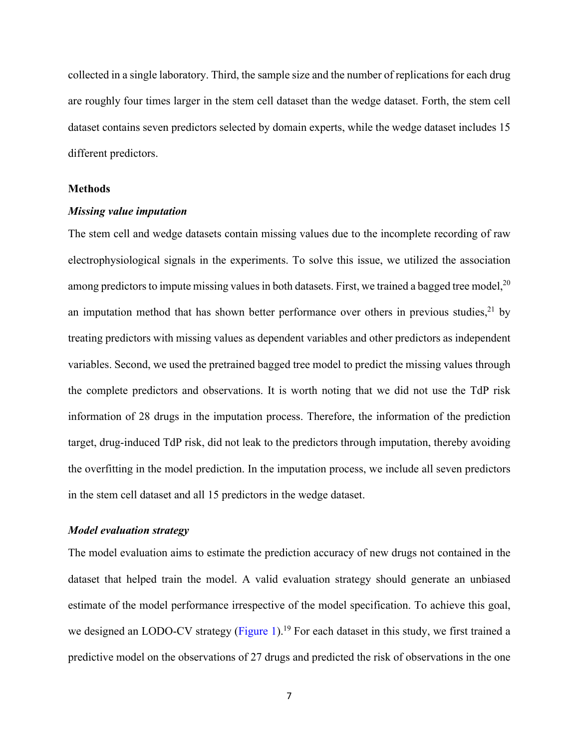collected in a single laboratory. Third, the sample size and the number of replications for each drug are roughly four times larger in the stem cell dataset than the wedge dataset. Forth, the stem cell dataset contains seven predictors selected by domain experts, while the wedge dataset includes 15 different predictors.

#### **Methods**

#### *Missing value imputation*

The stem cell and wedge datasets contain missing values due to the incomplete recording of raw electrophysiological signals in the experiments. To solve this issue, we utilized the association among predictors to impute missing values in both datasets. First, we trained a bagged tree model, $^{20}$ an imputation method that has shown better performance over others in previous studies,<sup>21</sup> by treating predictors with missing values as dependent variables and other predictors as independent variables. Second, we used the pretrained bagged tree model to predict the missing values through the complete predictors and observations. It is worth noting that we did not use the TdP risk information of 28 drugs in the imputation process. Therefore, the information of the prediction target, drug-induced TdP risk, did not leak to the predictors through imputation, thereby avoiding the overfitting in the model prediction. In the imputation process, we include all seven predictors in the stem cell dataset and all 15 predictors in the wedge dataset.

#### *Model evaluation strategy*

The model evaluation aims to estimate the prediction accuracy of new drugs not contained in the dataset that helped train the model. A valid evaluation strategy should generate an unbiased estimate of the model performance irrespective of the model specification. To achieve this goal, we designed an LODO-CV strategy (Figure 1).<sup>19</sup> For each dataset in this study, we first trained a predictive model on the observations of 27 drugs and predicted the risk of observations in the one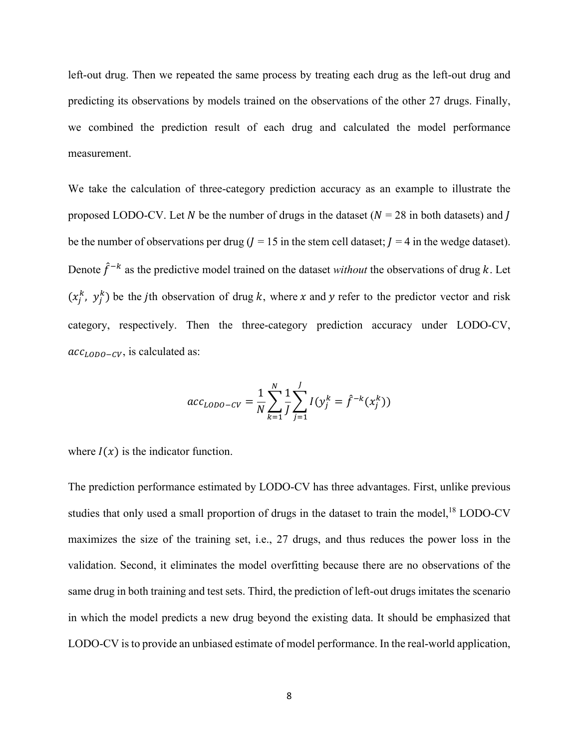left-out drug. Then we repeated the same process by treating each drug as the left-out drug and predicting its observations by models trained on the observations of the other 27 drugs. Finally, we combined the prediction result of each drug and calculated the model performance measurement.

We take the calculation of three-category prediction accuracy as an example to illustrate the proposed LODO-CV. Let N be the number of drugs in the dataset ( $N = 28$  in both datasets) and J be the number of observations per drug ( $l = 15$  in the stem cell dataset;  $l = 4$  in the wedge dataset). Denote  $\hat{f}^{-k}$  as the predictive model trained on the dataset *without* the observations of drug k. Let  $(x_j^k, y_j^k)$  be the *j*th observation of drug *k*, where *x* and *y* refer to the predictor vector and risk category, respectively. Then the three-category prediction accuracy under LODO-CV,  $acc_{LODO-CV}$ , is calculated as:

$$
acc_{LODO-CV} = \frac{1}{N} \sum_{k=1}^{N} \frac{1}{J} \sum_{j=1}^{J} I(y_j^k = \hat{f}^{-k}(x_j^k))
$$

where  $I(x)$  is the indicator function.

The prediction performance estimated by LODO-CV has three advantages. First, unlike previous studies that only used a small proportion of drugs in the dataset to train the model,<sup>18</sup> LODO-CV maximizes the size of the training set, i.e., 27 drugs, and thus reduces the power loss in the validation. Second, it eliminates the model overfitting because there are no observations of the same drug in both training and test sets. Third, the prediction of left-out drugs imitates the scenario in which the model predicts a new drug beyond the existing data. It should be emphasized that LODO-CV is to provide an unbiased estimate of model performance. In the real-world application,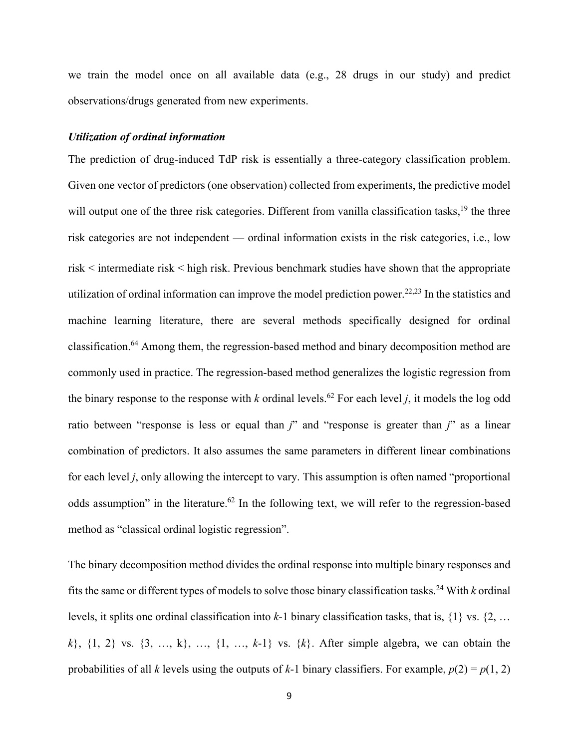we train the model once on all available data (e.g., 28 drugs in our study) and predict observations/drugs generated from new experiments.

#### *Utilization of ordinal information*

The prediction of drug-induced TdP risk is essentially a three-category classification problem. Given one vector of predictors (one observation) collected from experiments, the predictive model will output one of the three risk categories. Different from vanilla classification tasks,<sup>19</sup> the three risk categories are not independent — ordinal information exists in the risk categories, i.e., low risk < intermediate risk < high risk. Previous benchmark studies have shown that the appropriate utilization of ordinal information can improve the model prediction power.<sup>22,23</sup> In the statistics and machine learning literature, there are several methods specifically designed for ordinal classification.<sup>64</sup> Among them, the regression-based method and binary decomposition method are commonly used in practice. The regression-based method generalizes the logistic regression from the binary response to the response with *k* ordinal levels.<sup>62</sup> For each level *j*, it models the log odd ratio between "response is less or equal than *j*" and "response is greater than *j*" as a linear combination of predictors. It also assumes the same parameters in different linear combinations for each level *j*, only allowing the intercept to vary. This assumption is often named "proportional odds assumption" in the literature.<sup>62</sup> In the following text, we will refer to the regression-based method as "classical ordinal logistic regression".

The binary decomposition method divides the ordinal response into multiple binary responses and fits the same or different types of models to solve those binary classification tasks. <sup>24</sup> With *k* ordinal levels, it splits one ordinal classification into *k-*1 binary classification tasks, that is, {1} vs. {2, … *k*}, {1, 2} vs. {3, …, k}, …, {1, …, *k*-1} vs. {*k*}. After simple algebra, we can obtain the probabilities of all *k* levels using the outputs of *k*-1 binary classifiers. For example,  $p(2) = p(1, 2)$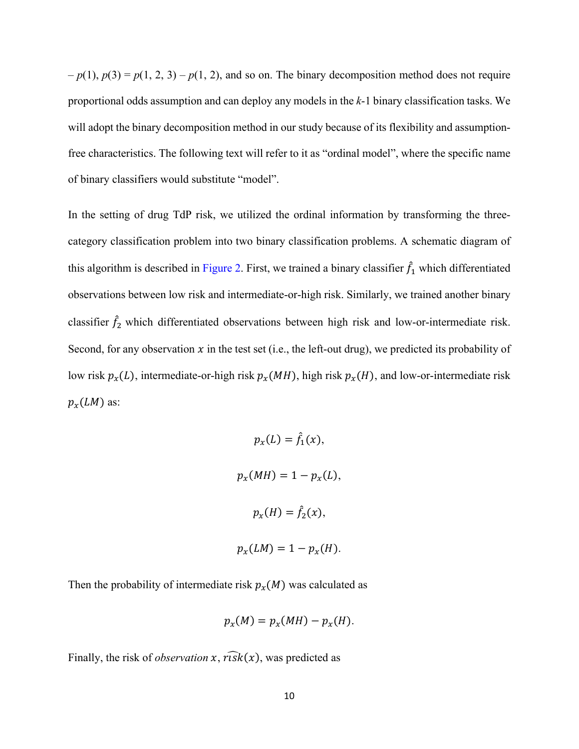$-p(1)$ ,  $p(3) = p(1, 2, 3) - p(1, 2)$ , and so on. The binary decomposition method does not require proportional odds assumption and can deploy any models in the *k*-1 binary classification tasks. We will adopt the binary decomposition method in our study because of its flexibility and assumptionfree characteristics. The following text will refer to it as "ordinal model", where the specific name of binary classifiers would substitute "model".

In the setting of drug TdP risk, we utilized the ordinal information by transforming the threecategory classification problem into two binary classification problems. A schematic diagram of this algorithm is described in Figure 2. First, we trained a binary classifier  $f_1$  which differentiated observations between low risk and intermediate-or-high risk. Similarly, we trained another binary classifier  $\hat{f}_2$  which differentiated observations between high risk and low-or-intermediate risk. Second, for any observation  $x$  in the test set (i.e., the left-out drug), we predicted its probability of low risk  $p_x(L)$ , intermediate-or-high risk  $p_x(MH)$ , high risk  $p_x(H)$ , and low-or-intermediate risk  $p_x(LM)$  as:

$$
p_x(L) = \hat{f}_1(x),
$$
  

$$
p_x(MH) = 1 - p_x(L),
$$
  

$$
p_x(H) = \hat{f}_2(x),
$$
  

$$
p_x(LM) = 1 - p_x(H).
$$

Then the probability of intermediate risk  $p_x(M)$  was calculated as

$$
p_{\chi}(M)=p_{\chi}(MH)-p_{\chi}(H).
$$

Finally, the risk of *observation*  $x$ ,  $\widehat{r}$  ( $\widehat{x}$ ), was predicted as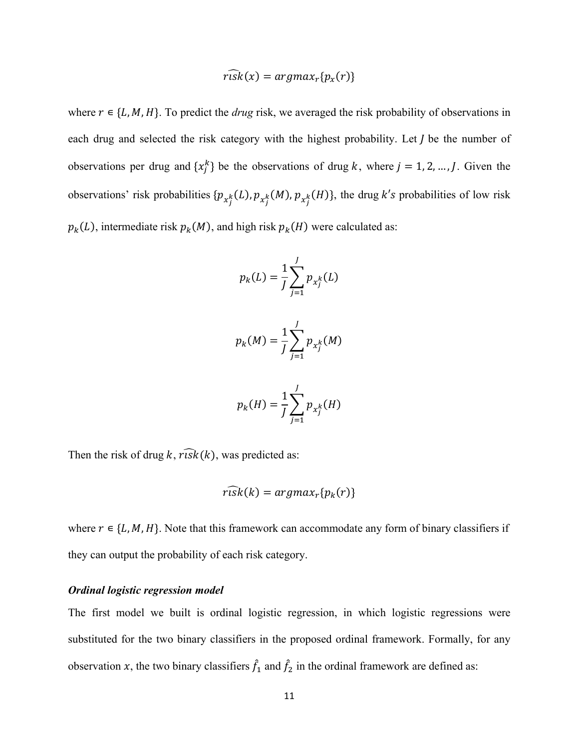$$
\widehat{risk}(x) = \operatorname{argmax}_r\{p_x(r)\}\
$$

where  $r \in \{L, M, H\}$ . To predict the *drug* risk, we averaged the risk probability of observations in each drug and selected the risk category with the highest probability. Let  *be the number of* observations per drug and  $\{x_j^k\}$  be the observations of drug k, where  $j = 1, 2, ..., J$ . Given the observations' risk probabilities  $\{p_{x_j^k}(L), p_{x_j^k}(M), p_{x_j^k}(H)\}$ , the drug k's probabilities of low risk  $p_k(L)$ , intermediate risk  $p_k(M)$ , and high risk  $p_k(H)$  were calculated as:

$$
p_k(L) = \frac{1}{J} \sum_{j=1}^{J} p_{x_j^k}(L)
$$
  

$$
p_k(M) = \frac{1}{J} \sum_{i=1}^{J} p_{x_j^k}(M)
$$

$$
p_k(H) = \frac{1}{J} \sum_{j=1}^{J} p_{x_j^k}(H)
$$

 $j=1$ 

Then the risk of drug k,  $\widehat{r_{1sk}}(k)$ , was predicted as:

$$
risk(k) = argmax_r\{p_k(r)\}\
$$

where  $r \in \{L, M, H\}$ . Note that this framework can accommodate any form of binary classifiers if they can output the probability of each risk category.

#### *Ordinal logistic regression model*

The first model we built is ordinal logistic regression, in which logistic regressions were substituted for the two binary classifiers in the proposed ordinal framework. Formally, for any observation x, the two binary classifiers  $f_1$  and  $f_2$  in the ordinal framework are defined as: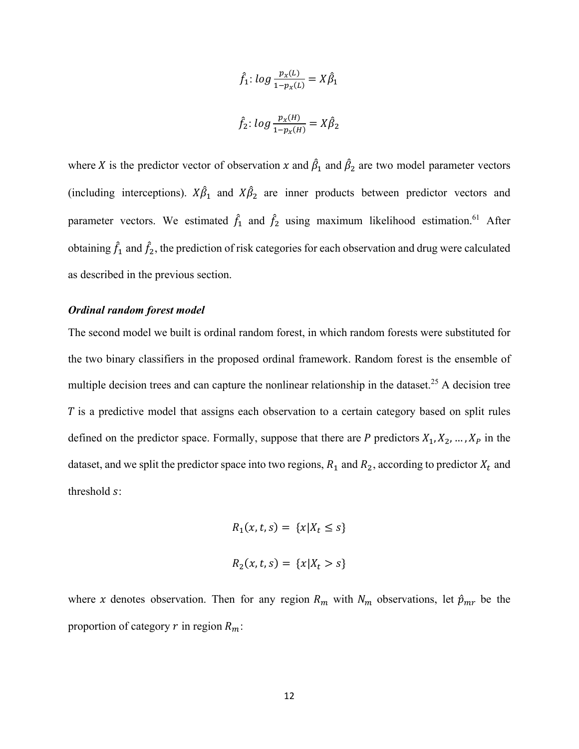$$
\hat{f}_1: \log \frac{p_x(L)}{1 - p_x(L)} = X\hat{\beta}_1
$$
  

$$
\hat{f}_2: \log \frac{p_x(H)}{1 - p_x(H)} = X\hat{\beta}_2
$$

where X is the predictor vector of observation x and  $\beta_1$  and  $\beta_2$  are two model parameter vectors (including interceptions).  $X\beta_1$  and  $X\beta_2$  are inner products between predictor vectors and parameter vectors. We estimated  $\hat{f}_1$  and  $\hat{f}_2$  using maximum likelihood estimation.<sup>61</sup> After obtaining  $\hat{f}_1$  and  $\hat{f}_2$ , the prediction of risk categories for each observation and drug were calculated as described in the previous section.

#### *Ordinal random forest model*

The second model we built is ordinal random forest, in which random forests were substituted for the two binary classifiers in the proposed ordinal framework. Random forest is the ensemble of multiple decision trees and can capture the nonlinear relationship in the dataset.<sup>25</sup> A decision tree  $\overline{T}$  is a predictive model that assigns each observation to a certain category based on split rules defined on the predictor space. Formally, suppose that there are P predictors  $X_1, X_2, ..., X_p$  in the dataset, and we split the predictor space into two regions,  $R_1$  and  $R_2$ , according to predictor  $X_t$  and threshold s:

$$
R_1(x, t, s) = \{x | X_t \le s\}
$$
  

$$
R_2(x, t, s) = \{x | X_t > s\}
$$

where x denotes observation. Then for any region  $R_m$  with  $N_m$  observations, let  $\hat{p}_{mr}$  be the proportion of category  $r$  in region  $R_m$ :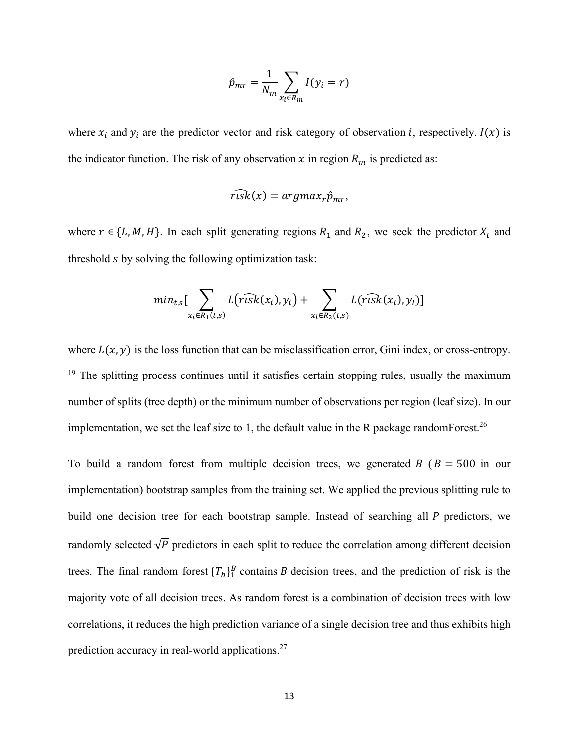$$
\hat{p}_{mr} = \frac{1}{N_m} \sum_{x_i \in R_m} I(y_i = r)
$$

where  $x_i$  and  $y_i$  are the predictor vector and risk category of observation *i*, respectively.  $I(x)$  is the indicator function. The risk of any observation  $x$  in region  $R_m$  is predicted as:

$$
r\widehat{\iota s}k(x) = argmax_{r}\hat{p}_{mr},
$$

where  $r \in \{L, M, H\}$ . In each split generating regions  $R_1$  and  $R_2$ , we seek the predictor  $X_t$  and threshold s by solving the following optimization task:

$$
min_{t,s} \left[ \sum_{x_i \in R_1(t,s)} L(r\widehat{isk}(x_i), y_i) + \sum_{x_l \in R_2(t,s)} L(r\widehat{usk}(x_l), y_l) \right]
$$

where  $L(x, y)$  is the loss function that can be misclassification error, Gini index, or cross-entropy. <sup>19</sup> The splitting process continues until it satisfies certain stopping rules, usually the maximum number of splits (tree depth) or the minimum number of observations per region (leaf size). In our implementation, we set the leaf size to 1, the default value in the R package randomForest.<sup>26</sup>

To build a random forest from multiple decision trees, we generated  $B$  ( $B = 500$  in our implementation) bootstrap samples from the training set. We applied the previous splitting rule to build one decision tree for each bootstrap sample. Instead of searching all P predictors, we randomly selected  $\sqrt{P}$  predictors in each split to reduce the correlation among different decision trees. The final random forest  ${T_b}_1^B$  contains B decision trees, and the prediction of risk is the majority vote of all decision trees. As random forest is a combination of decision trees with low correlations, it reduces the high prediction variance of a single decision tree and thus exhibits high prediction accuracy in real-world applications.<sup>27</sup>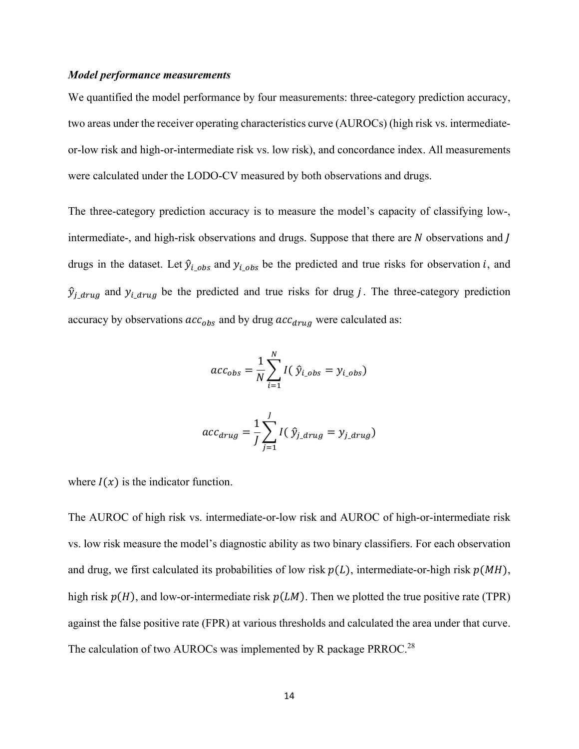#### *Model performance measurements*

We quantified the model performance by four measurements: three-category prediction accuracy, two areas under the receiver operating characteristics curve (AUROCs) (high risk vs. intermediateor-low risk and high-or-intermediate risk vs. low risk), and concordance index. All measurements were calculated under the LODO-CV measured by both observations and drugs.

The three-category prediction accuracy is to measure the model's capacity of classifying low-, intermediate-, and high-risk observations and drugs. Suppose that there are  $N$  observations and  $N$ drugs in the dataset. Let  $\hat{y}_{i_obs}$  and  $y_{i_obs}$  be the predicted and true risks for observation *i*, and  $\hat{y}_{j\_drug}$  and  $y_{i\_drug}$  be the predicted and true risks for drug j. The three-category prediction accuracy by observations  $acc_{obs}$  and by drug  $acc_{drug}$  were calculated as:

$$
acc_{obs} = \frac{1}{N} \sum_{i=1}^{N} I(\hat{y}_{i\_obs} = y_{i\_obs})
$$

$$
acc_{drug} = \frac{1}{J} \sum_{j=1}^{J} I(\hat{y}_{j\_drug} = y_{j\_drug})
$$

where  $I(x)$  is the indicator function.

The AUROC of high risk vs. intermediate-or-low risk and AUROC of high-or-intermediate risk vs. low risk measure the model's diagnostic ability as two binary classifiers. For each observation and drug, we first calculated its probabilities of low risk  $p(L)$ , intermediate-or-high risk  $p(MH)$ , high risk  $p(H)$ , and low-or-intermediate risk  $p(LM)$ . Then we plotted the true positive rate (TPR) against the false positive rate (FPR) at various thresholds and calculated the area under that curve. The calculation of two AUROCs was implemented by R package PRROC.<sup>28</sup>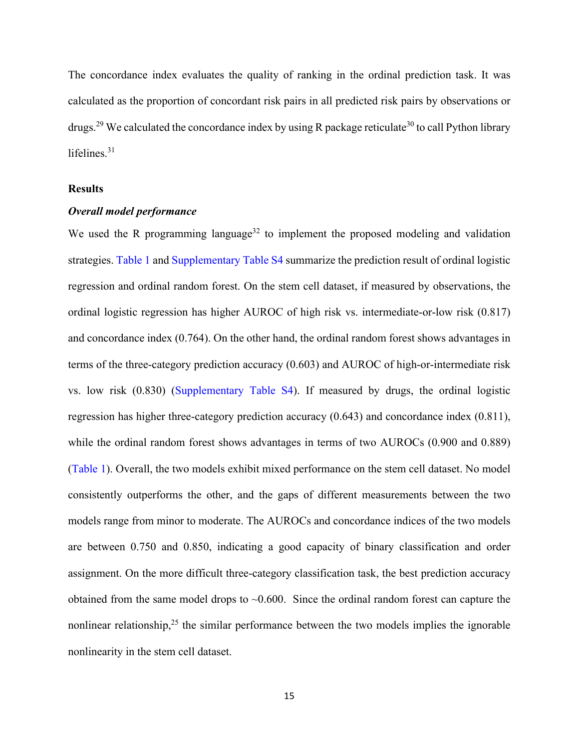The concordance index evaluates the quality of ranking in the ordinal prediction task. It was calculated as the proportion of concordant risk pairs in all predicted risk pairs by observations or drugs.<sup>29</sup> We calculated the concordance index by using R package reticulate<sup>30</sup> to call Python library lifelines. 31

#### **Results**

#### *Overall model performance*

We used the R programming language<sup>32</sup> to implement the proposed modeling and validation strategies. Table 1 and Supplementary Table S4 summarize the prediction result of ordinal logistic regression and ordinal random forest. On the stem cell dataset, if measured by observations, the ordinal logistic regression has higher AUROC of high risk vs. intermediate-or-low risk (0.817) and concordance index (0.764). On the other hand, the ordinal random forest shows advantages in terms of the three-category prediction accuracy (0.603) and AUROC of high-or-intermediate risk vs. low risk (0.830) (Supplementary Table S4). If measured by drugs, the ordinal logistic regression has higher three-category prediction accuracy (0.643) and concordance index (0.811), while the ordinal random forest shows advantages in terms of two AUROCs (0.900 and 0.889) (Table 1). Overall, the two models exhibit mixed performance on the stem cell dataset. No model consistently outperforms the other, and the gaps of different measurements between the two models range from minor to moderate. The AUROCs and concordance indices of the two models are between 0.750 and 0.850, indicating a good capacity of binary classification and order assignment. On the more difficult three-category classification task, the best prediction accuracy obtained from the same model drops to  $\sim 0.600$ . Since the ordinal random forest can capture the nonlinear relationship,<sup>25</sup> the similar performance between the two models implies the ignorable nonlinearity in the stem cell dataset.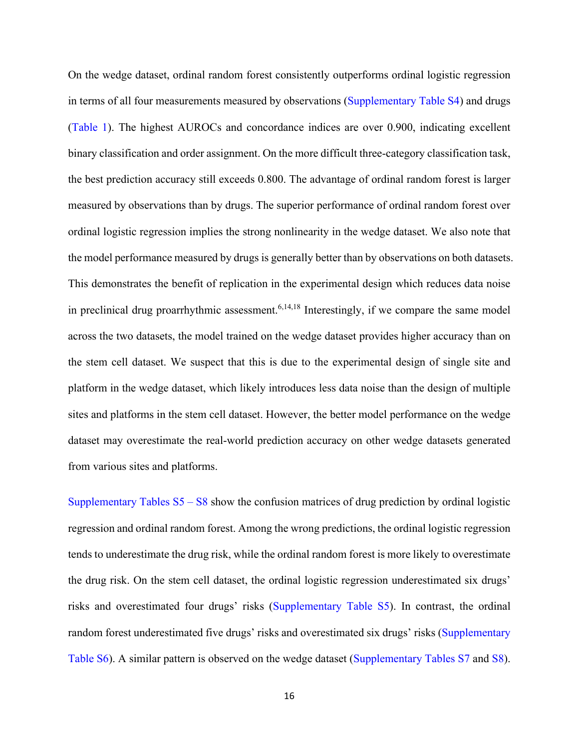On the wedge dataset, ordinal random forest consistently outperforms ordinal logistic regression in terms of all four measurements measured by observations (Supplementary Table S4) and drugs (Table 1). The highest AUROCs and concordance indices are over 0.900, indicating excellent binary classification and order assignment. On the more difficult three-category classification task, the best prediction accuracy still exceeds 0.800. The advantage of ordinal random forest is larger measured by observations than by drugs. The superior performance of ordinal random forest over ordinal logistic regression implies the strong nonlinearity in the wedge dataset. We also note that the model performance measured by drugs is generally better than by observations on both datasets. This demonstrates the benefit of replication in the experimental design which reduces data noise in preclinical drug proarrhythmic assessment.<sup>6,14,18</sup> Interestingly, if we compare the same model across the two datasets, the model trained on the wedge dataset provides higher accuracy than on the stem cell dataset. We suspect that this is due to the experimental design of single site and platform in the wedge dataset, which likely introduces less data noise than the design of multiple sites and platforms in the stem cell dataset. However, the better model performance on the wedge dataset may overestimate the real-world prediction accuracy on other wedge datasets generated from various sites and platforms.

Supplementary Tables  $S5 - S8$  show the confusion matrices of drug prediction by ordinal logistic regression and ordinal random forest. Among the wrong predictions, the ordinal logistic regression tends to underestimate the drug risk, while the ordinal random forest is more likely to overestimate the drug risk. On the stem cell dataset, the ordinal logistic regression underestimated six drugs' risks and overestimated four drugs' risks (Supplementary Table S5). In contrast, the ordinal random forest underestimated five drugs' risks and overestimated six drugs' risks (Supplementary Table S6). A similar pattern is observed on the wedge dataset (Supplementary Tables S7 and S8).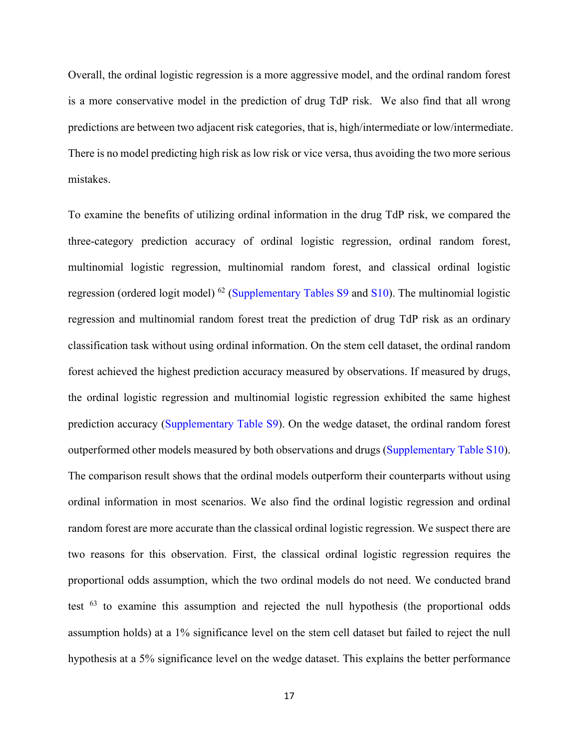Overall, the ordinal logistic regression is a more aggressive model, and the ordinal random forest is a more conservative model in the prediction of drug TdP risk. We also find that all wrong predictions are between two adjacent risk categories, that is, high/intermediate or low/intermediate. There is no model predicting high risk as low risk or vice versa, thus avoiding the two more serious mistakes.

To examine the benefits of utilizing ordinal information in the drug TdP risk, we compared the three-category prediction accuracy of ordinal logistic regression, ordinal random forest, multinomial logistic regression, multinomial random forest, and classical ordinal logistic regression (ordered logit model) <sup>62</sup> (Supplementary Tables S9 and S10). The multinomial logistic regression and multinomial random forest treat the prediction of drug TdP risk as an ordinary classification task without using ordinal information. On the stem cell dataset, the ordinal random forest achieved the highest prediction accuracy measured by observations. If measured by drugs, the ordinal logistic regression and multinomial logistic regression exhibited the same highest prediction accuracy (Supplementary Table S9). On the wedge dataset, the ordinal random forest outperformed other models measured by both observations and drugs (Supplementary Table S10). The comparison result shows that the ordinal models outperform their counterparts without using ordinal information in most scenarios. We also find the ordinal logistic regression and ordinal random forest are more accurate than the classical ordinal logistic regression. We suspect there are two reasons for this observation. First, the classical ordinal logistic regression requires the proportional odds assumption, which the two ordinal models do not need. We conducted brand test <sup>63</sup> to examine this assumption and rejected the null hypothesis (the proportional odds assumption holds) at a 1% significance level on the stem cell dataset but failed to reject the null hypothesis at a 5% significance level on the wedge dataset. This explains the better performance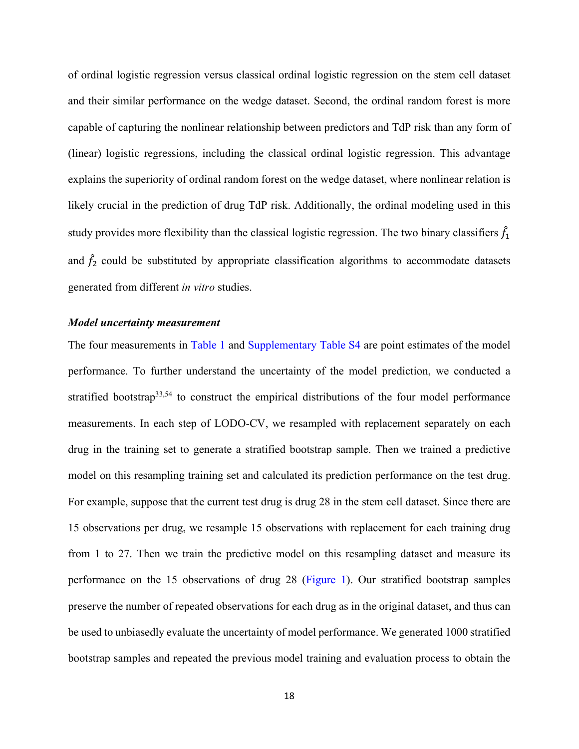of ordinal logistic regression versus classical ordinal logistic regression on the stem cell dataset and their similar performance on the wedge dataset. Second, the ordinal random forest is more capable of capturing the nonlinear relationship between predictors and TdP risk than any form of (linear) logistic regressions, including the classical ordinal logistic regression. This advantage explains the superiority of ordinal random forest on the wedge dataset, where nonlinear relation is likely crucial in the prediction of drug TdP risk. Additionally, the ordinal modeling used in this study provides more flexibility than the classical logistic regression. The two binary classifiers  $\tilde{f}_1$ and  $f_2$  could be substituted by appropriate classification algorithms to accommodate datasets generated from different *in vitro* studies.

#### *Model uncertainty measurement*

The four measurements in Table 1 and Supplementary Table S4 are point estimates of the model performance. To further understand the uncertainty of the model prediction, we conducted a stratified bootstrap<sup>33,54</sup> to construct the empirical distributions of the four model performance measurements. In each step of LODO-CV, we resampled with replacement separately on each drug in the training set to generate a stratified bootstrap sample. Then we trained a predictive model on this resampling training set and calculated its prediction performance on the test drug. For example, suppose that the current test drug is drug 28 in the stem cell dataset. Since there are 15 observations per drug, we resample 15 observations with replacement for each training drug from 1 to 27. Then we train the predictive model on this resampling dataset and measure its performance on the 15 observations of drug 28 (Figure 1). Our stratified bootstrap samples preserve the number of repeated observations for each drug as in the original dataset, and thus can be used to unbiasedly evaluate the uncertainty of model performance. We generated 1000 stratified bootstrap samples and repeated the previous model training and evaluation process to obtain the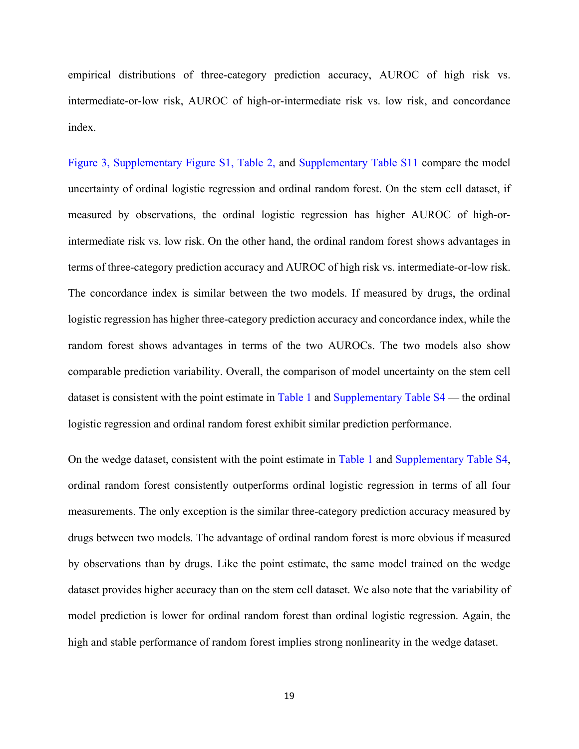empirical distributions of three-category prediction accuracy, AUROC of high risk vs. intermediate-or-low risk, AUROC of high-or-intermediate risk vs. low risk, and concordance index.

Figure 3, Supplementary Figure S1, Table 2, and Supplementary Table S11 compare the model uncertainty of ordinal logistic regression and ordinal random forest. On the stem cell dataset, if measured by observations, the ordinal logistic regression has higher AUROC of high-orintermediate risk vs. low risk. On the other hand, the ordinal random forest shows advantages in terms of three-category prediction accuracy and AUROC of high risk vs. intermediate-or-low risk. The concordance index is similar between the two models. If measured by drugs, the ordinal logistic regression has higher three-category prediction accuracy and concordance index, while the random forest shows advantages in terms of the two AUROCs. The two models also show comparable prediction variability. Overall, the comparison of model uncertainty on the stem cell dataset is consistent with the point estimate in Table 1 and Supplementary Table S4 — the ordinal logistic regression and ordinal random forest exhibit similar prediction performance.

On the wedge dataset, consistent with the point estimate in Table 1 and Supplementary Table S4, ordinal random forest consistently outperforms ordinal logistic regression in terms of all four measurements. The only exception is the similar three-category prediction accuracy measured by drugs between two models. The advantage of ordinal random forest is more obvious if measured by observations than by drugs. Like the point estimate, the same model trained on the wedge dataset provides higher accuracy than on the stem cell dataset. We also note that the variability of model prediction is lower for ordinal random forest than ordinal logistic regression. Again, the high and stable performance of random forest implies strong nonlinearity in the wedge dataset.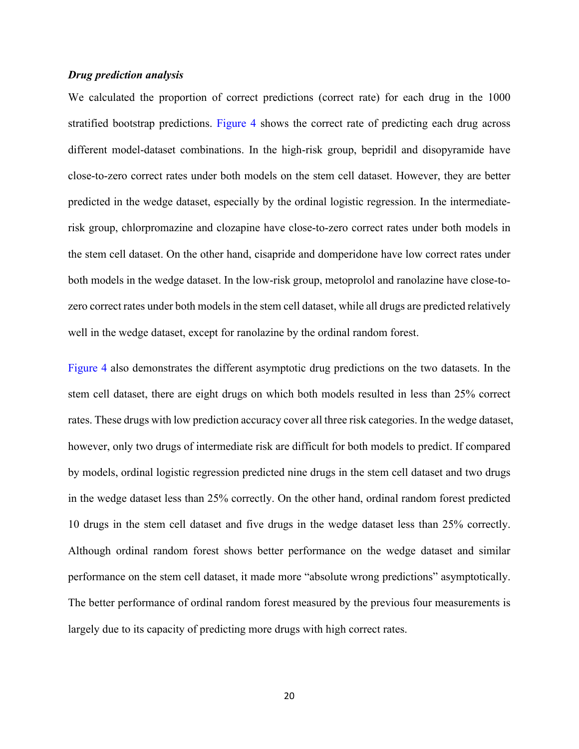#### *Drug prediction analysis*

We calculated the proportion of correct predictions (correct rate) for each drug in the 1000 stratified bootstrap predictions. Figure 4 shows the correct rate of predicting each drug across different model-dataset combinations. In the high-risk group, bepridil and disopyramide have close-to-zero correct rates under both models on the stem cell dataset. However, they are better predicted in the wedge dataset, especially by the ordinal logistic regression. In the intermediaterisk group, chlorpromazine and clozapine have close-to-zero correct rates under both models in the stem cell dataset. On the other hand, cisapride and domperidone have low correct rates under both models in the wedge dataset. In the low-risk group, metoprolol and ranolazine have close-tozero correct rates under both models in the stem cell dataset, while all drugs are predicted relatively well in the wedge dataset, except for ranolazine by the ordinal random forest.

Figure 4 also demonstrates the different asymptotic drug predictions on the two datasets. In the stem cell dataset, there are eight drugs on which both models resulted in less than 25% correct rates. These drugs with low prediction accuracy cover all three risk categories. In the wedge dataset, however, only two drugs of intermediate risk are difficult for both models to predict. If compared by models, ordinal logistic regression predicted nine drugs in the stem cell dataset and two drugs in the wedge dataset less than 25% correctly. On the other hand, ordinal random forest predicted 10 drugs in the stem cell dataset and five drugs in the wedge dataset less than 25% correctly. Although ordinal random forest shows better performance on the wedge dataset and similar performance on the stem cell dataset, it made more "absolute wrong predictions" asymptotically. The better performance of ordinal random forest measured by the previous four measurements is largely due to its capacity of predicting more drugs with high correct rates.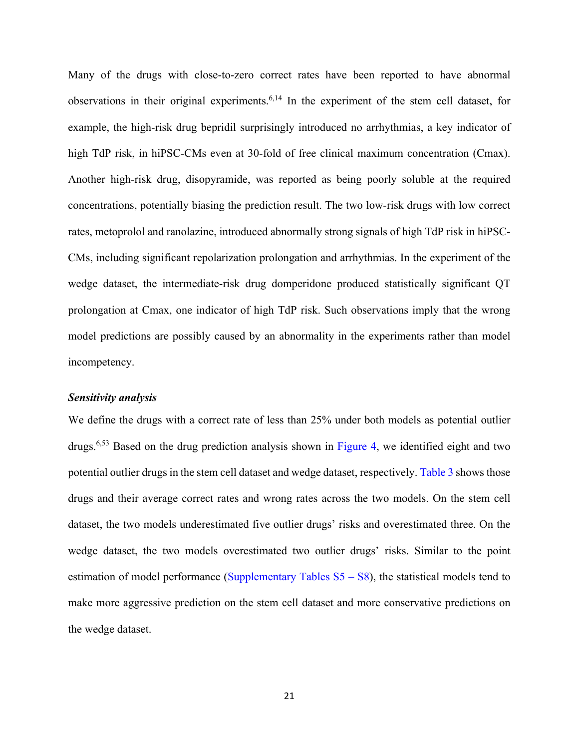Many of the drugs with close-to-zero correct rates have been reported to have abnormal observations in their original experiments.<sup>6,14</sup> In the experiment of the stem cell dataset, for example, the high-risk drug bepridil surprisingly introduced no arrhythmias, a key indicator of high TdP risk, in hiPSC-CMs even at 30-fold of free clinical maximum concentration (Cmax). Another high-risk drug, disopyramide, was reported as being poorly soluble at the required concentrations, potentially biasing the prediction result. The two low-risk drugs with low correct rates, metoprolol and ranolazine, introduced abnormally strong signals of high TdP risk in hiPSC-CMs, including significant repolarization prolongation and arrhythmias. In the experiment of the wedge dataset, the intermediate-risk drug domperidone produced statistically significant QT prolongation at Cmax, one indicator of high TdP risk. Such observations imply that the wrong model predictions are possibly caused by an abnormality in the experiments rather than model incompetency.

#### *Sensitivity analysis*

We define the drugs with a correct rate of less than 25% under both models as potential outlier drugs.6,53 Based on the drug prediction analysis shown in Figure 4, we identified eight and two potential outlier drugs in the stem cell dataset and wedge dataset, respectively. Table 3 shows those drugs and their average correct rates and wrong rates across the two models. On the stem cell dataset, the two models underestimated five outlier drugs' risks and overestimated three. On the wedge dataset, the two models overestimated two outlier drugs' risks. Similar to the point estimation of model performance (Supplementary Tables  $S5 - S8$ ), the statistical models tend to make more aggressive prediction on the stem cell dataset and more conservative predictions on the wedge dataset.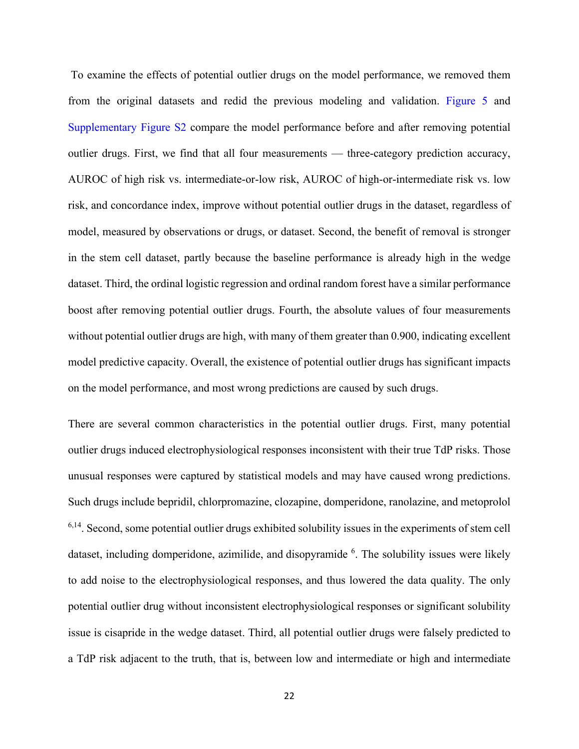To examine the effects of potential outlier drugs on the model performance, we removed them from the original datasets and redid the previous modeling and validation. Figure 5 and Supplementary Figure S2 compare the model performance before and after removing potential outlier drugs. First, we find that all four measurements — three-category prediction accuracy, AUROC of high risk vs. intermediate-or-low risk, AUROC of high-or-intermediate risk vs. low risk, and concordance index, improve without potential outlier drugs in the dataset, regardless of model, measured by observations or drugs, or dataset. Second, the benefit of removal is stronger in the stem cell dataset, partly because the baseline performance is already high in the wedge dataset. Third, the ordinal logistic regression and ordinal random forest have a similar performance boost after removing potential outlier drugs. Fourth, the absolute values of four measurements without potential outlier drugs are high, with many of them greater than 0.900, indicating excellent model predictive capacity. Overall, the existence of potential outlier drugs has significant impacts on the model performance, and most wrong predictions are caused by such drugs.

There are several common characteristics in the potential outlier drugs. First, many potential outlier drugs induced electrophysiological responses inconsistent with their true TdP risks. Those unusual responses were captured by statistical models and may have caused wrong predictions. Such drugs include bepridil, chlorpromazine, clozapine, domperidone, ranolazine, and metoprolol  $6,14$ . Second, some potential outlier drugs exhibited solubility issues in the experiments of stem cell dataset, including domperidone, azimilide, and disopyramide <sup>6</sup>. The solubility issues were likely to add noise to the electrophysiological responses, and thus lowered the data quality. The only potential outlier drug without inconsistent electrophysiological responses or significant solubility issue is cisapride in the wedge dataset. Third, all potential outlier drugs were falsely predicted to a TdP risk adjacent to the truth, that is, between low and intermediate or high and intermediate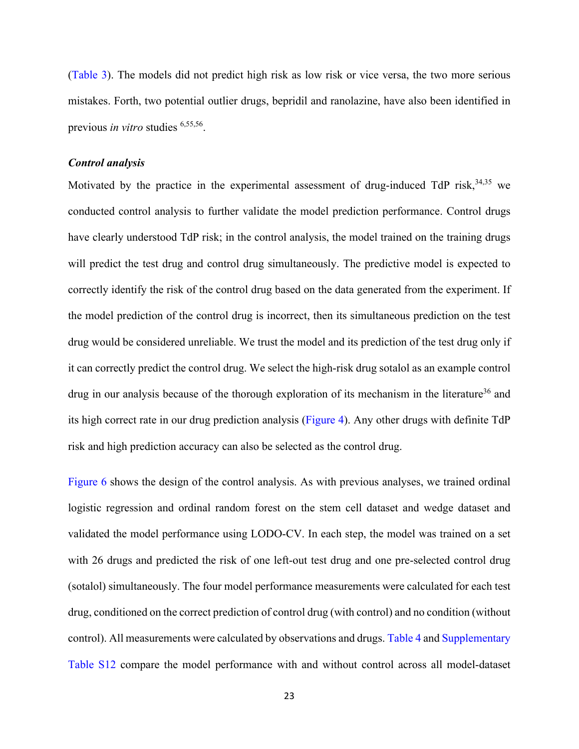(Table 3). The models did not predict high risk as low risk or vice versa, the two more serious mistakes. Forth, two potential outlier drugs, bepridil and ranolazine, have also been identified in previous *in vitro* studies 6,55,56.

#### *Control analysis*

Motivated by the practice in the experimental assessment of drug-induced TdP risk, 34,35 we conducted control analysis to further validate the model prediction performance. Control drugs have clearly understood TdP risk; in the control analysis, the model trained on the training drugs will predict the test drug and control drug simultaneously. The predictive model is expected to correctly identify the risk of the control drug based on the data generated from the experiment. If the model prediction of the control drug is incorrect, then its simultaneous prediction on the test drug would be considered unreliable. We trust the model and its prediction of the test drug only if it can correctly predict the control drug. We select the high-risk drug sotalol as an example control drug in our analysis because of the thorough exploration of its mechanism in the literature<sup>36</sup> and its high correct rate in our drug prediction analysis (Figure 4). Any other drugs with definite TdP risk and high prediction accuracy can also be selected as the control drug.

Figure 6 shows the design of the control analysis. As with previous analyses, we trained ordinal logistic regression and ordinal random forest on the stem cell dataset and wedge dataset and validated the model performance using LODO-CV. In each step, the model was trained on a set with 26 drugs and predicted the risk of one left-out test drug and one pre-selected control drug (sotalol) simultaneously. The four model performance measurements were calculated for each test drug, conditioned on the correct prediction of control drug (with control) and no condition (without control). All measurements were calculated by observations and drugs. Table 4 and Supplementary Table S12 compare the model performance with and without control across all model-dataset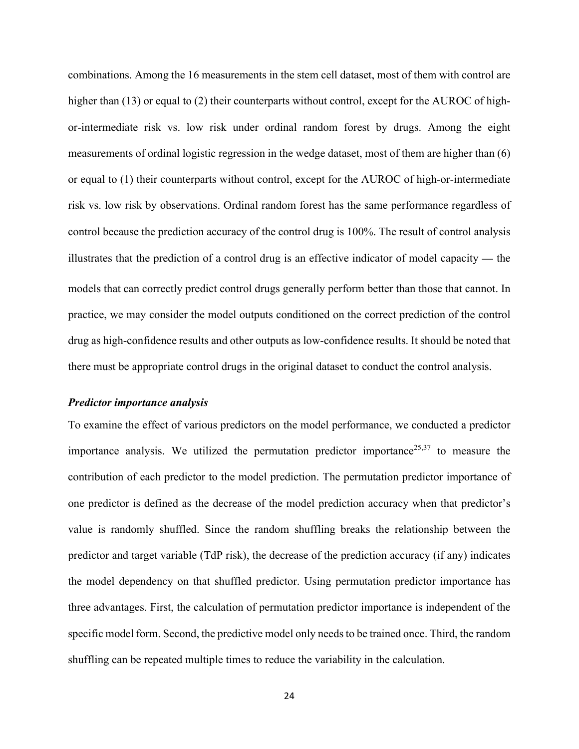combinations. Among the 16 measurements in the stem cell dataset, most of them with control are higher than (13) or equal to (2) their counterparts without control, except for the AUROC of highor-intermediate risk vs. low risk under ordinal random forest by drugs. Among the eight measurements of ordinal logistic regression in the wedge dataset, most of them are higher than (6) or equal to (1) their counterparts without control, except for the AUROC of high-or-intermediate risk vs. low risk by observations. Ordinal random forest has the same performance regardless of control because the prediction accuracy of the control drug is 100%. The result of control analysis illustrates that the prediction of a control drug is an effective indicator of model capacity — the models that can correctly predict control drugs generally perform better than those that cannot. In practice, we may consider the model outputs conditioned on the correct prediction of the control drug as high-confidence results and other outputs as low-confidence results. It should be noted that there must be appropriate control drugs in the original dataset to conduct the control analysis.

#### *Predictor importance analysis*

To examine the effect of various predictors on the model performance, we conducted a predictor importance analysis. We utilized the permutation predictor importance<sup>25,37</sup> to measure the contribution of each predictor to the model prediction. The permutation predictor importance of one predictor is defined as the decrease of the model prediction accuracy when that predictor's value is randomly shuffled. Since the random shuffling breaks the relationship between the predictor and target variable (TdP risk), the decrease of the prediction accuracy (if any) indicates the model dependency on that shuffled predictor. Using permutation predictor importance has three advantages. First, the calculation of permutation predictor importance is independent of the specific model form. Second, the predictive model only needs to be trained once. Third, the random shuffling can be repeated multiple times to reduce the variability in the calculation.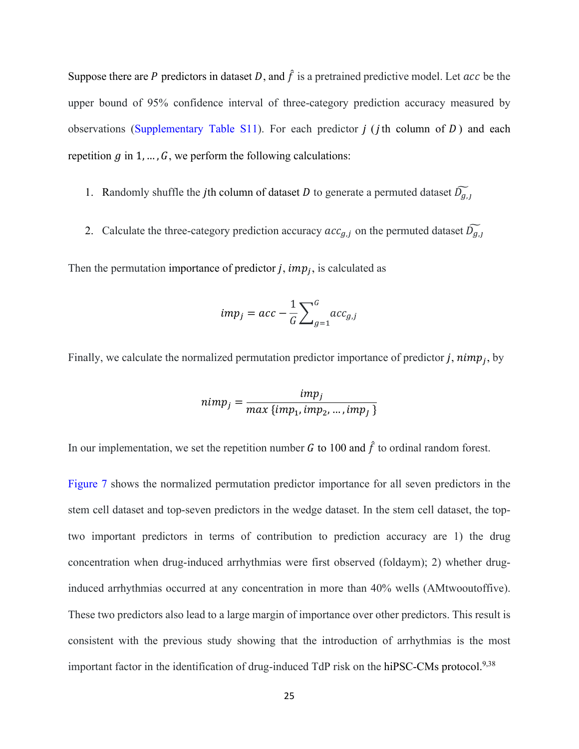Suppose there are P predictors in dataset D, and  $\hat{f}$  is a pretrained predictive model. Let  $acc$  be the upper bound of 95% confidence interval of three-category prediction accuracy measured by observations (Supplementary Table S11). For each predictor  $j$  ( $j$ th column of  $D$ ) and each repetition  $g$  in 1, ...,  $G$ , we perform the following calculations:

- 1. Randomly shuffle the jth column of dataset *D* to generate a permuted dataset  $\widetilde{D_{q,1}}$
- 2. Calculate the three-category prediction accuracy  $acc_{g,j}$  on the permuted dataset  $\widetilde{D_{g,j}}$

Then the permutation importance of predictor j,  $imp<sub>i</sub>$ , is calculated as

$$
imp_j = acc - \frac{1}{G} \sum_{g=1}^{G} acc_{g,j}
$$

Finally, we calculate the normalized permutation predictor importance of predictor j,  $nimp<sub>i</sub>$ , by

$$
nimp_j = \frac{imp_j}{max\{imp_1,imp_2,...,imp_j\}}
$$

In our implementation, we set the repetition number G to 100 and  $\hat{f}$  to ordinal random forest.

Figure 7 shows the normalized permutation predictor importance for all seven predictors in the stem cell dataset and top-seven predictors in the wedge dataset. In the stem cell dataset, the toptwo important predictors in terms of contribution to prediction accuracy are 1) the drug concentration when drug-induced arrhythmias were first observed (foldaym); 2) whether druginduced arrhythmias occurred at any concentration in more than 40% wells (AMtwooutoffive). These two predictors also lead to a large margin of importance over other predictors. This result is consistent with the previous study showing that the introduction of arrhythmias is the most important factor in the identification of drug-induced TdP risk on the hiPSC-CMs protocol.<sup>9,38</sup>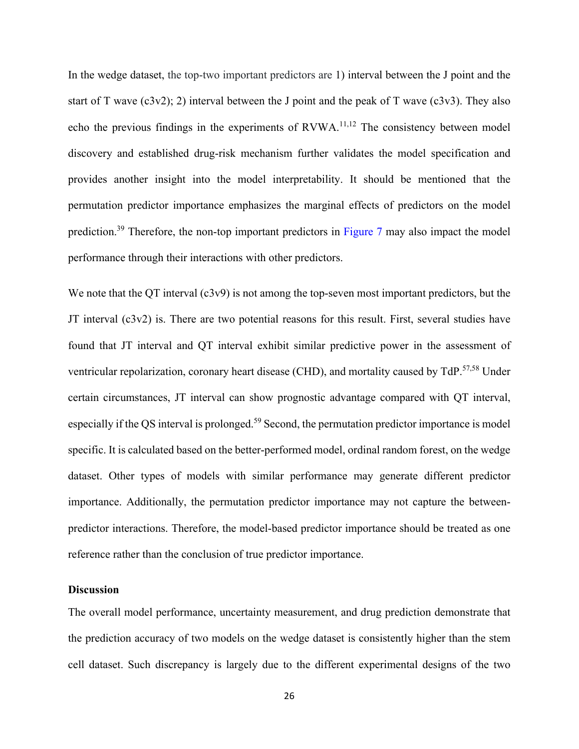In the wedge dataset, the top-two important predictors are 1) interval between the J point and the start of T wave  $(c3v2)$ ; 2) interval between the J point and the peak of T wave  $(c3v3)$ . They also echo the previous findings in the experiments of RVWA.<sup>11,12</sup> The consistency between model discovery and established drug-risk mechanism further validates the model specification and provides another insight into the model interpretability. It should be mentioned that the permutation predictor importance emphasizes the marginal effects of predictors on the model prediction.<sup>39</sup> Therefore, the non-top important predictors in Figure 7 may also impact the model performance through their interactions with other predictors.

We note that the QT interval (c3v9) is not among the top-seven most important predictors, but the JT interval (c3v2) is. There are two potential reasons for this result. First, several studies have found that JT interval and QT interval exhibit similar predictive power in the assessment of ventricular repolarization, coronary heart disease (CHD), and mortality caused by TdP.<sup>57,58</sup> Under certain circumstances, JT interval can show prognostic advantage compared with QT interval, especially if the QS interval is prolonged.<sup>59</sup> Second, the permutation predictor importance is model specific. It is calculated based on the better-performed model, ordinal random forest, on the wedge dataset. Other types of models with similar performance may generate different predictor importance. Additionally, the permutation predictor importance may not capture the betweenpredictor interactions. Therefore, the model-based predictor importance should be treated as one reference rather than the conclusion of true predictor importance.

#### **Discussion**

The overall model performance, uncertainty measurement, and drug prediction demonstrate that the prediction accuracy of two models on the wedge dataset is consistently higher than the stem cell dataset. Such discrepancy is largely due to the different experimental designs of the two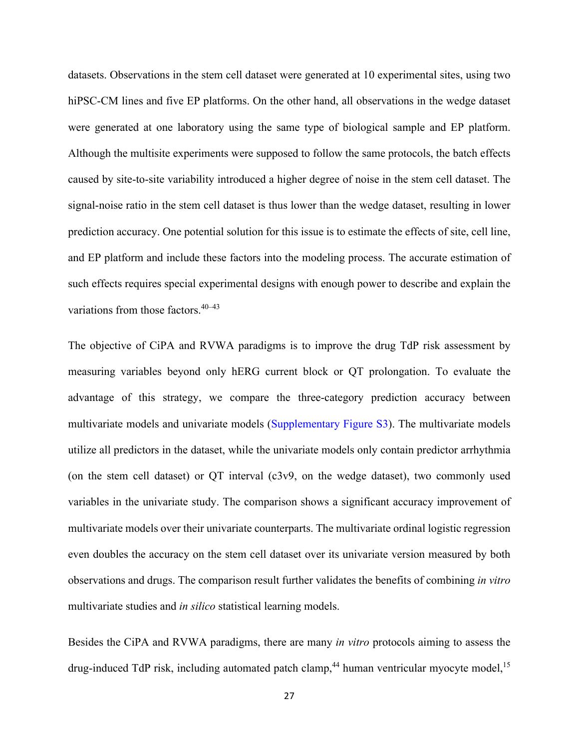datasets. Observations in the stem cell dataset were generated at 10 experimental sites, using two hiPSC-CM lines and five EP platforms. On the other hand, all observations in the wedge dataset were generated at one laboratory using the same type of biological sample and EP platform. Although the multisite experiments were supposed to follow the same protocols, the batch effects caused by site-to-site variability introduced a higher degree of noise in the stem cell dataset. The signal-noise ratio in the stem cell dataset is thus lower than the wedge dataset, resulting in lower prediction accuracy. One potential solution for this issue is to estimate the effects of site, cell line, and EP platform and include these factors into the modeling process. The accurate estimation of such effects requires special experimental designs with enough power to describe and explain the variations from those factors. 40–43

The objective of CiPA and RVWA paradigms is to improve the drug TdP risk assessment by measuring variables beyond only hERG current block or QT prolongation. To evaluate the advantage of this strategy, we compare the three-category prediction accuracy between multivariate models and univariate models (Supplementary Figure S3). The multivariate models utilize all predictors in the dataset, while the univariate models only contain predictor arrhythmia (on the stem cell dataset) or QT interval (c3v9, on the wedge dataset), two commonly used variables in the univariate study. The comparison shows a significant accuracy improvement of multivariate models over their univariate counterparts. The multivariate ordinal logistic regression even doubles the accuracy on the stem cell dataset over its univariate version measured by both observations and drugs. The comparison result further validates the benefits of combining *in vitro* multivariate studies and *in silico* statistical learning models.

Besides the CiPA and RVWA paradigms, there are many *in vitro* protocols aiming to assess the drug-induced TdP risk, including automated patch clamp,<sup>44</sup> human ventricular myocyte model,<sup>15</sup>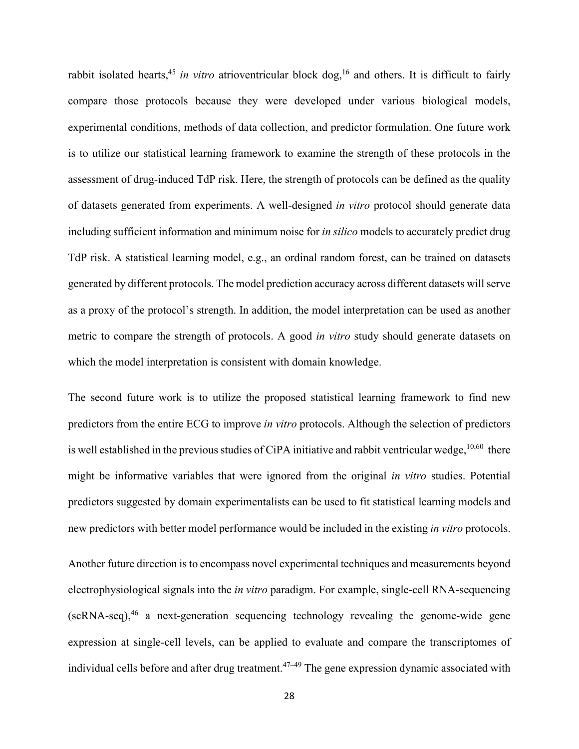rabbit isolated hearts, <sup>45</sup> *in vitro* atrioventricular block dog, <sup>16</sup> and others. It is difficult to fairly compare those protocols because they were developed under various biological models, experimental conditions, methods of data collection, and predictor formulation. One future work is to utilize our statistical learning framework to examine the strength of these protocols in the assessment of drug-induced TdP risk. Here, the strength of protocols can be defined as the quality of datasets generated from experiments. A well-designed *in vitro* protocol should generate data including sufficient information and minimum noise for *in silico* models to accurately predict drug TdP risk. A statistical learning model, e.g., an ordinal random forest, can be trained on datasets generated by different protocols. The model prediction accuracy across different datasets will serve as a proxy of the protocol's strength. In addition, the model interpretation can be used as another metric to compare the strength of protocols. A good *in vitro* study should generate datasets on which the model interpretation is consistent with domain knowledge.

The second future work is to utilize the proposed statistical learning framework to find new predictors from the entire ECG to improve *in vitro* protocols. Although the selection of predictors is well established in the previous studies of CiPA initiative and rabbit ventricular wedge,  $^{10,60}$  there might be informative variables that were ignored from the original *in vitro* studies. Potential predictors suggested by domain experimentalists can be used to fit statistical learning models and new predictors with better model performance would be included in the existing *in vitro* protocols.

Another future direction is to encompass novel experimental techniques and measurements beyond electrophysiological signals into the *in vitro* paradigm. For example, single-cell RNA-sequencing  $(scRNA-seq)$ ,<sup>46</sup> a next-generation sequencing technology revealing the genome-wide gene expression at single-cell levels, can be applied to evaluate and compare the transcriptomes of individual cells before and after drug treatment.<sup>47–49</sup> The gene expression dynamic associated with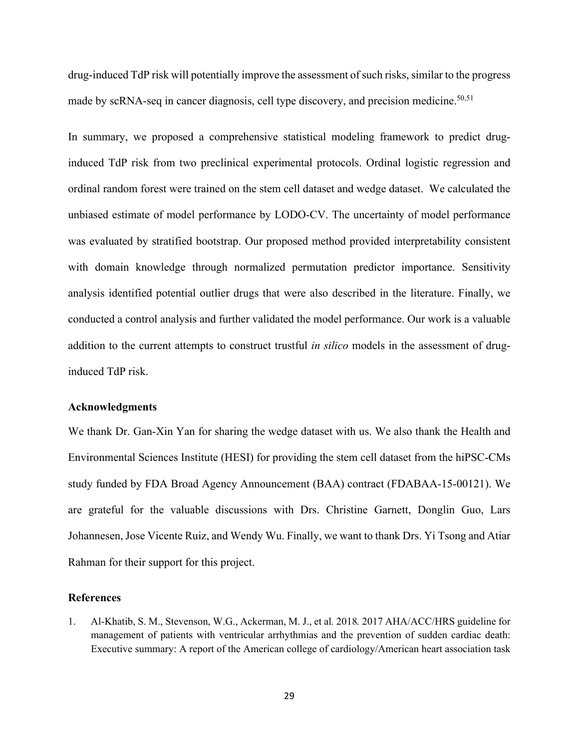drug-induced TdP risk will potentially improve the assessment of such risks, similar to the progress made by scRNA-seq in cancer diagnosis, cell type discovery, and precision medicine.<sup>50,51</sup>

In summary, we proposed a comprehensive statistical modeling framework to predict druginduced TdP risk from two preclinical experimental protocols. Ordinal logistic regression and ordinal random forest were trained on the stem cell dataset and wedge dataset. We calculated the unbiased estimate of model performance by LODO-CV. The uncertainty of model performance was evaluated by stratified bootstrap. Our proposed method provided interpretability consistent with domain knowledge through normalized permutation predictor importance. Sensitivity analysis identified potential outlier drugs that were also described in the literature. Finally, we conducted a control analysis and further validated the model performance. Our work is a valuable addition to the current attempts to construct trustful *in silico* models in the assessment of druginduced TdP risk.

#### **Acknowledgments**

We thank Dr. Gan-Xin Yan for sharing the wedge dataset with us. We also thank the Health and Environmental Sciences Institute (HESI) for providing the stem cell dataset from the hiPSC-CMs study funded by FDA Broad Agency Announcement (BAA) contract (FDABAA-15-00121). We are grateful for the valuable discussions with Drs. Christine Garnett, Donglin Guo, Lars Johannesen, Jose Vicente Ruiz, and Wendy Wu. Finally, we want to thank Drs. Yi Tsong and Atiar Rahman for their support for this project.

#### **References**

1. Al-Khatib, S. M., Stevenson, W.G., Ackerman, M. J., et al*.* 2018*.* 2017 AHA/ACC/HRS guideline for management of patients with ventricular arrhythmias and the prevention of sudden cardiac death: Executive summary: A report of the American college of cardiology/American heart association task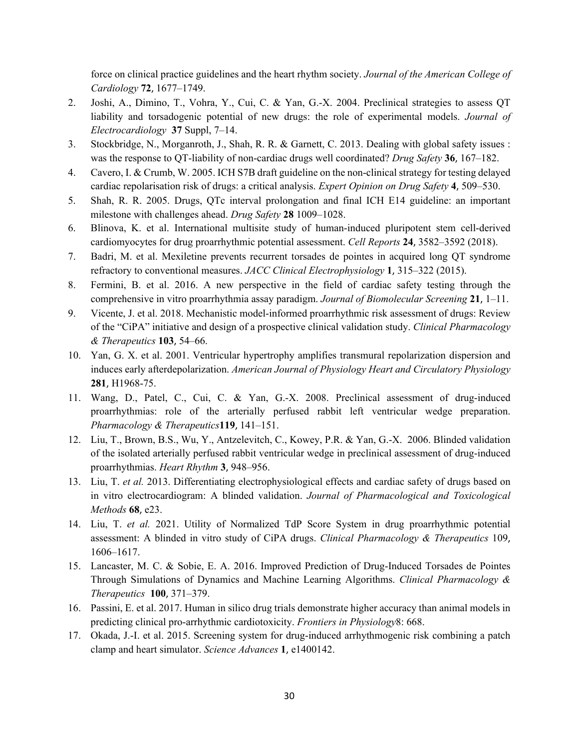force on clinical practice guidelines and the heart rhythm society. *Journal of the American College of Cardiology* **72**, 1677–1749.

- 2. Joshi, A., Dimino, T., Vohra, Y., Cui, C. & Yan, G.-X. 2004. Preclinical strategies to assess QT liability and torsadogenic potential of new drugs: the role of experimental models. *Journal of Electrocardiology* **37** Suppl, 7–14.
- 3. Stockbridge, N., Morganroth, J., Shah, R. R. & Garnett, C. 2013. Dealing with global safety issues : was the response to QT-liability of non-cardiac drugs well coordinated? *Drug Safety* **36**, 167–182.
- 4. Cavero, I. & Crumb, W. 2005. ICH S7B draft guideline on the non-clinical strategy for testing delayed cardiac repolarisation risk of drugs: a critical analysis. *Expert Opinion on Drug Safety* **4**, 509–530.
- 5. Shah, R. R. 2005. Drugs, QTc interval prolongation and final ICH E14 guideline: an important milestone with challenges ahead. *Drug Safety* **28** 1009–1028.
- 6. Blinova, K. et al. International multisite study of human-induced pluripotent stem cell-derived cardiomyocytes for drug proarrhythmic potential assessment. *Cell Reports* **24**, 3582–3592 (2018).
- 7. Badri, M. et al. Mexiletine prevents recurrent torsades de pointes in acquired long QT syndrome refractory to conventional measures. *JACC Clinical Electrophysiology* **1**, 315–322 (2015).
- 8. Fermini, B. et al. 2016. A new perspective in the field of cardiac safety testing through the comprehensive in vitro proarrhythmia assay paradigm. *Journal of Biomolecular Screening* **21**, 1–11.
- 9. Vicente, J. et al. 2018. Mechanistic model-informed proarrhythmic risk assessment of drugs: Review of the "CiPA" initiative and design of a prospective clinical validation study. *Clinical Pharmacology & Therapeutics* **103**, 54–66.
- 10. Yan, G. X. et al. 2001. Ventricular hypertrophy amplifies transmural repolarization dispersion and induces early afterdepolarization. *American Journal of Physiology Heart and Circulatory Physiology* **281**, H1968-75.
- 11. Wang, D., Patel, C., Cui, C. & Yan, G.-X. 2008. Preclinical assessment of drug-induced proarrhythmias: role of the arterially perfused rabbit left ventricular wedge preparation. *Pharmacology & Therapeutics***119**, 141–151.
- 12. Liu, T., Brown, B.S., Wu, Y., Antzelevitch, C., Kowey, P.R. & Yan, G.-X. 2006. Blinded validation of the isolated arterially perfused rabbit ventricular wedge in preclinical assessment of drug-induced proarrhythmias. *Heart Rhythm* **3**, 948–956.
- 13. Liu, T. *et al.* 2013. Differentiating electrophysiological effects and cardiac safety of drugs based on in vitro electrocardiogram: A blinded validation. *Journal of Pharmacological and Toxicological Methods* **68**, e23.
- 14. Liu, T. *et al.* 2021. Utility of Normalized TdP Score System in drug proarrhythmic potential assessment: A blinded in vitro study of CiPA drugs. *Clinical Pharmacology & Therapeutics* 109, 1606–1617.
- 15. Lancaster, M. C. & Sobie, E. A. 2016. Improved Prediction of Drug-Induced Torsades de Pointes Through Simulations of Dynamics and Machine Learning Algorithms. *Clinical Pharmacology & Therapeutics* **100**, 371–379.
- 16. Passini, E. et al. 2017. Human in silico drug trials demonstrate higher accuracy than animal models in predicting clinical pro-arrhythmic cardiotoxicity. *Frontiers in Physiology*8: 668.
- 17. Okada, J.-I. et al. 2015. Screening system for drug-induced arrhythmogenic risk combining a patch clamp and heart simulator. *Science Advances* **1**, e1400142.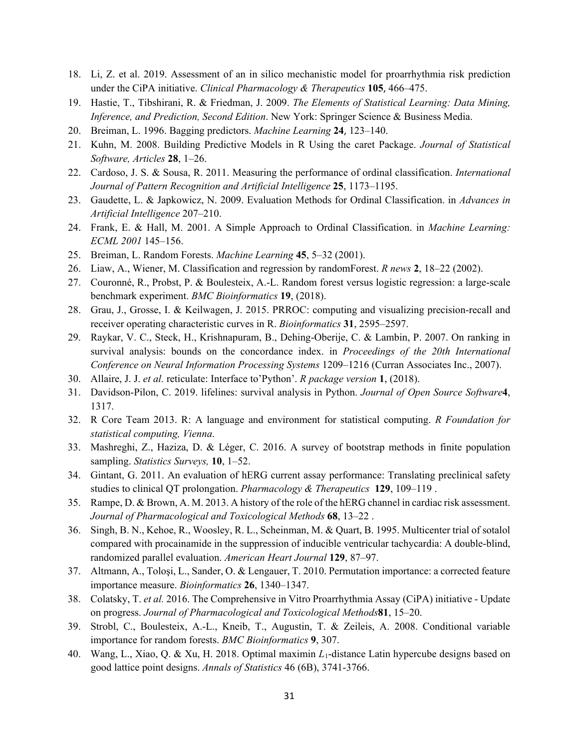- 18. Li, Z. et al. 2019. Assessment of an in silico mechanistic model for proarrhythmia risk prediction under the CiPA initiative. *Clinical Pharmacology & Therapeutics* **105**, 466–475.
- 19. Hastie, T., Tibshirani, R. & Friedman, J. 2009. *The Elements of Statistical Learning: Data Mining, Inference, and Prediction, Second Edition*. New York: Springer Science & Business Media.
- 20. Breiman, L. 1996. Bagging predictors. *Machine Learning* **24**, 123–140.
- 21. Kuhn, M. 2008. Building Predictive Models in R Using the caret Package. *Journal of Statistical Software, Articles* **28**, 1–26.
- 22. Cardoso, J. S. & Sousa, R. 2011. Measuring the performance of ordinal classification. *International Journal of Pattern Recognition and Artificial Intelligence* **25**, 1173–1195.
- 23. Gaudette, L. & Japkowicz, N. 2009. Evaluation Methods for Ordinal Classification. in *Advances in Artificial Intelligence* 207–210.
- 24. Frank, E. & Hall, M. 2001. A Simple Approach to Ordinal Classification. in *Machine Learning: ECML 2001* 145–156.
- 25. Breiman, L. Random Forests. *Machine Learning* **45**, 5–32 (2001).
- 26. Liaw, A., Wiener, M. Classification and regression by randomForest. *R news* **2**, 18–22 (2002).
- 27. Couronné, R., Probst, P. & Boulesteix, A.-L. Random forest versus logistic regression: a large-scale benchmark experiment. *BMC Bioinformatics* **19**, (2018).
- 28. Grau, J., Grosse, I. & Keilwagen, J. 2015. PRROC: computing and visualizing precision-recall and receiver operating characteristic curves in R. *Bioinformatics* **31**, 2595–2597.
- 29. Raykar, V. C., Steck, H., Krishnapuram, B., Dehing-Oberije, C. & Lambin, P. 2007. On ranking in survival analysis: bounds on the concordance index. in *Proceedings of the 20th International Conference on Neural Information Processing Systems* 1209–1216 (Curran Associates Inc., 2007).
- 30. Allaire, J. J. *et al.* reticulate: Interface to'Python'. *R package version* **1**, (2018).
- 31. Davidson-Pilon, C. 2019. lifelines: survival analysis in Python. *Journal of Open Source Software***4**, 1317.
- 32. R Core Team 2013. R: A language and environment for statistical computing. *R Foundation for statistical computing, Vienna*.
- 33. Mashreghi, Z., Haziza, D. & Léger, C. 2016. A survey of bootstrap methods in finite population sampling. *Statistics Surveys,* **10**, 1–52.
- 34. Gintant, G. 2011. An evaluation of hERG current assay performance: Translating preclinical safety studies to clinical QT prolongation. *Pharmacology & Therapeutics* **129**, 109–119 .
- 35. Rampe, D. & Brown, A. M. 2013. A history of the role of the hERG channel in cardiac risk assessment. *Journal of Pharmacological and Toxicological Methods* **68**, 13–22 .
- 36. Singh, B. N., Kehoe, R., Woosley, R. L., Scheinman, M. & Quart, B. 1995. Multicenter trial of sotalol compared with procainamide in the suppression of inducible ventricular tachycardia: A double-blind, randomized parallel evaluation. *American Heart Journal* **129**, 87–97.
- 37. Altmann, A., Toloşi, L., Sander, O. & Lengauer, T. 2010. Permutation importance: a corrected feature importance measure. *Bioinformatics* **26**, 1340–1347.
- 38. Colatsky, T. *et al.* 2016. The Comprehensive in Vitro Proarrhythmia Assay (CiPA) initiative Update on progress. *Journal of Pharmacological and Toxicological Methods***81**, 15–20.
- 39. Strobl, C., Boulesteix, A.-L., Kneib, T., Augustin, T. & Zeileis, A. 2008. Conditional variable importance for random forests. *BMC Bioinformatics* **9**, 307.
- 40. Wang, L., Xiao, Q. & Xu, H. 2018. Optimal maximin *L*1-distance Latin hypercube designs based on good lattice point designs. *Annals of Statistics* 46 (6B), 3741-3766.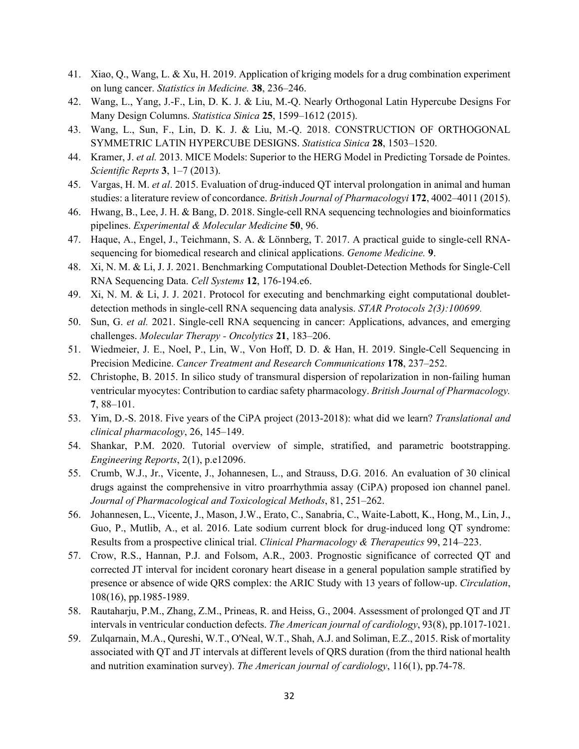- 41. Xiao, Q., Wang, L. & Xu, H. 2019. Application of kriging models for a drug combination experiment on lung cancer. *Statistics in Medicine.* **38**, 236–246.
- 42. Wang, L., Yang, J.-F., Lin, D. K. J. & Liu, M.-Q. Nearly Orthogonal Latin Hypercube Designs For Many Design Columns. *Statistica Sinica* **25**, 1599–1612 (2015).
- 43. Wang, L., Sun, F., Lin, D. K. J. & Liu, M.-Q. 2018. CONSTRUCTION OF ORTHOGONAL SYMMETRIC LATIN HYPERCUBE DESIGNS. *Statistica Sinica* **28**, 1503–1520.
- 44. Kramer, J. *et al.* 2013. MICE Models: Superior to the HERG Model in Predicting Torsade de Pointes. *Scientific Reprts* **3**, 1–7 (2013).
- 45. Vargas, H. M. *et al*. 2015. Evaluation of drug-induced QT interval prolongation in animal and human studies: a literature review of concordance. *British Journal of Pharmacologyi* **172**, 4002–4011 (2015).
- 46. Hwang, B., Lee, J. H. & Bang, D. 2018. Single-cell RNA sequencing technologies and bioinformatics pipelines. *Experimental & Molecular Medicine* **50**, 96.
- 47. Haque, A., Engel, J., Teichmann, S. A. & Lönnberg, T. 2017. A practical guide to single-cell RNAsequencing for biomedical research and clinical applications. *Genome Medicine.* **9**.
- 48. Xi, N. M. & Li, J. J. 2021. Benchmarking Computational Doublet-Detection Methods for Single-Cell RNA Sequencing Data. *Cell Systems* **12**, 176-194.e6.
- 49. Xi, N. M. & Li, J. J. 2021. Protocol for executing and benchmarking eight computational doubletdetection methods in single-cell RNA sequencing data analysis. *STAR Protocols 2(3):100699.*
- 50. Sun, G. *et al.* 2021. Single-cell RNA sequencing in cancer: Applications, advances, and emerging challenges. *Molecular Therapy - Oncolytics* **21**, 183–206.
- 51. Wiedmeier, J. E., Noel, P., Lin, W., Von Hoff, D. D. & Han, H. 2019. Single-Cell Sequencing in Precision Medicine. *Cancer Treatment and Research Communications* **178**, 237–252.
- 52. Christophe, B. 2015. In silico study of transmural dispersion of repolarization in non-failing human ventricular myocytes: Contribution to cardiac safety pharmacology. *British Journal of Pharmacology.* **7**, 88–101.
- 53. Yim, D.-S. 2018. Five years of the CiPA project (2013-2018): what did we learn? *Translational and clinical pharmacology*, 26, 145–149.
- 54. Shankar, P.M. 2020. Tutorial overview of simple, stratified, and parametric bootstrapping. *Engineering Reports*, 2(1), p.e12096.
- 55. Crumb, W.J., Jr., Vicente, J., Johannesen, L., and Strauss, D.G. 2016. An evaluation of 30 clinical drugs against the comprehensive in vitro proarrhythmia assay (CiPA) proposed ion channel panel. *Journal of Pharmacological and Toxicological Methods*, 81, 251–262.
- 56. Johannesen, L., Vicente, J., Mason, J.W., Erato, C., Sanabria, C., Waite-Labott, K., Hong, M., Lin, J., Guo, P., Mutlib, A., et al. 2016. Late sodium current block for drug-induced long QT syndrome: Results from a prospective clinical trial. *Clinical Pharmacology & Therapeutics* 99, 214–223.
- 57. Crow, R.S., Hannan, P.J. and Folsom, A.R., 2003. Prognostic significance of corrected QT and corrected JT interval for incident coronary heart disease in a general population sample stratified by presence or absence of wide QRS complex: the ARIC Study with 13 years of follow-up. *Circulation*, 108(16), pp.1985-1989.
- 58. Rautaharju, P.M., Zhang, Z.M., Prineas, R. and Heiss, G., 2004. Assessment of prolonged QT and JT intervals in ventricular conduction defects. *The American journal of cardiology*, 93(8), pp.1017-1021.
- 59. Zulqarnain, M.A., Qureshi, W.T., O'Neal, W.T., Shah, A.J. and Soliman, E.Z., 2015. Risk of mortality associated with QT and JT intervals at different levels of QRS duration (from the third national health and nutrition examination survey). *The American journal of cardiology*, 116(1), pp.74-78.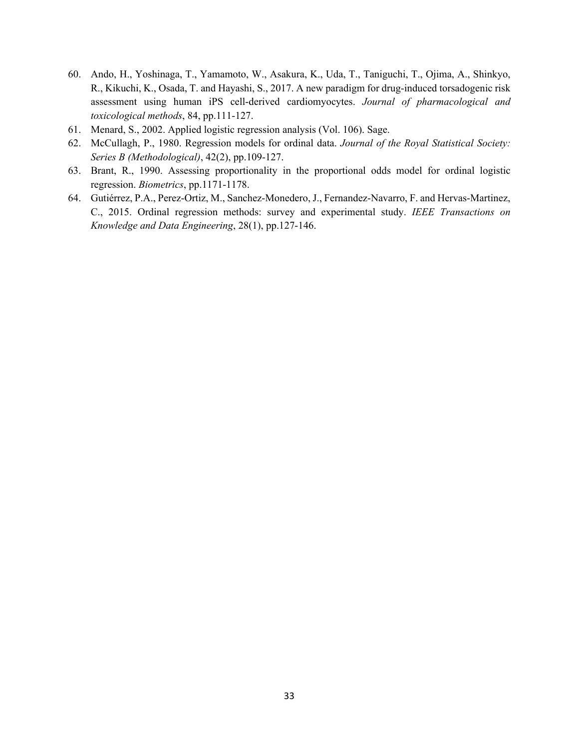- 60. Ando, H., Yoshinaga, T., Yamamoto, W., Asakura, K., Uda, T., Taniguchi, T., Ojima, A., Shinkyo, R., Kikuchi, K., Osada, T. and Hayashi, S., 2017. A new paradigm for drug-induced torsadogenic risk assessment using human iPS cell-derived cardiomyocytes. *Journal of pharmacological and toxicological methods*, 84, pp.111-127.
- 61. Menard, S., 2002. Applied logistic regression analysis (Vol. 106). Sage.
- 62. McCullagh, P., 1980. Regression models for ordinal data. *Journal of the Royal Statistical Society: Series B (Methodological)*, 42(2), pp.109-127.
- 63. Brant, R., 1990. Assessing proportionality in the proportional odds model for ordinal logistic regression. *Biometrics*, pp.1171-1178.
- 64. Gutiérrez, P.A., Perez-Ortiz, M., Sanchez-Monedero, J., Fernandez-Navarro, F. and Hervas-Martinez, C., 2015. Ordinal regression methods: survey and experimental study. *IEEE Transactions on Knowledge and Data Engineering*, 28(1), pp.127-146.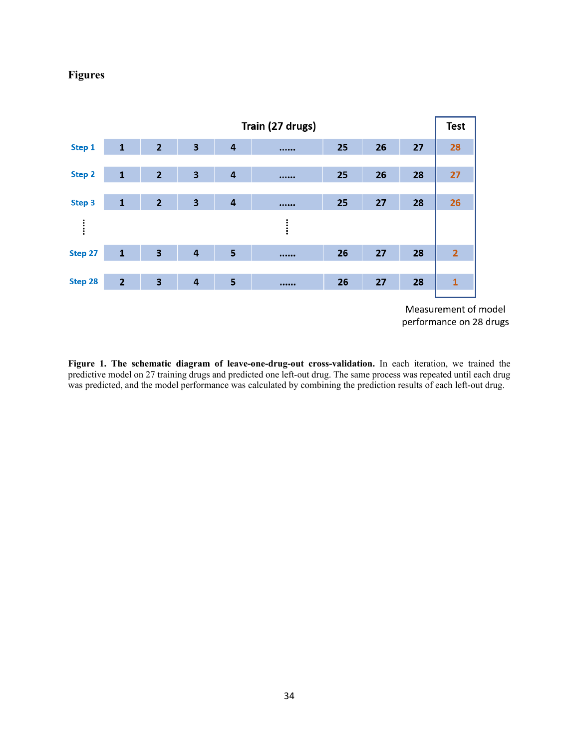## **Figures**



**Figure 1. The schematic diagram of leave-one-drug-out cross-validation.** In each iteration, we trained the predictive model on 27 training drugs and predicted one left-out drug. The same process was repeated until each drug was predicted, and the model performance was calculated by combining the prediction results of each left-out drug.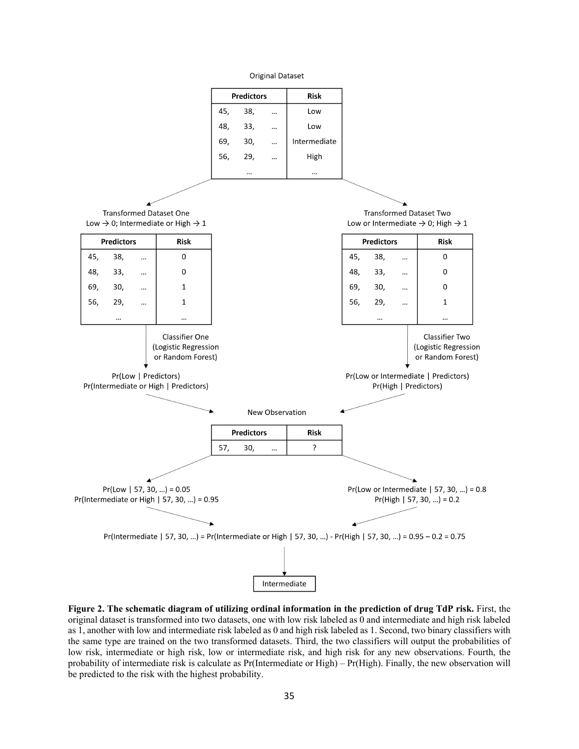**Original Dataset** 



**Figure 2. The schematic diagram of utilizing ordinal information in the prediction of drug TdP risk.** First, the original dataset is transformed into two datasets, one with low risk labeled as 0 and intermediate and high risk labeled as 1, another with low and intermediate risk labeled as 0 and high risk labeled as 1. Second, two binary classifiers with the same type are trained on the two transformed datasets. Third, the two classifiers will output the probabilities of low risk, intermediate or high risk, low or intermediate risk, and high risk for any new observations. Fourth, the probability of intermediate risk is calculate as Pr(Intermediate or High) – Pr(High). Finally, the new observation will be predicted to the risk with the highest probability.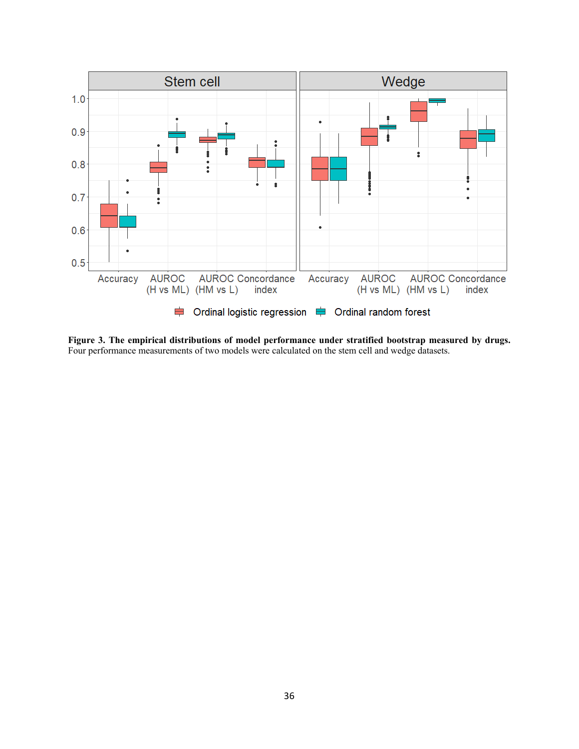

**Figure 3. The empirical distributions of model performance under stratified bootstrap measured by drugs.** Four performance measurements of two models were calculated on the stem cell and wedge datasets.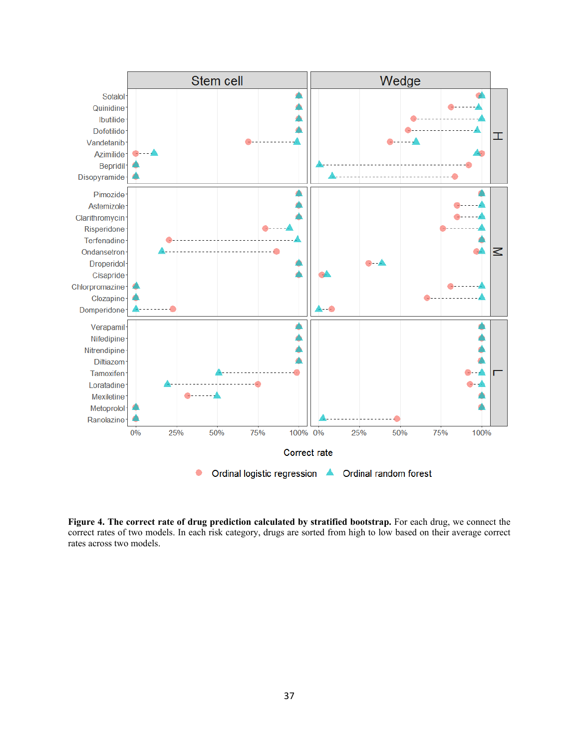

**Figure 4. The correct rate of drug prediction calculated by stratified bootstrap.** For each drug, we connect the correct rates of two models. In each risk category, drugs are sorted from high to low based on their average correct rates across two models.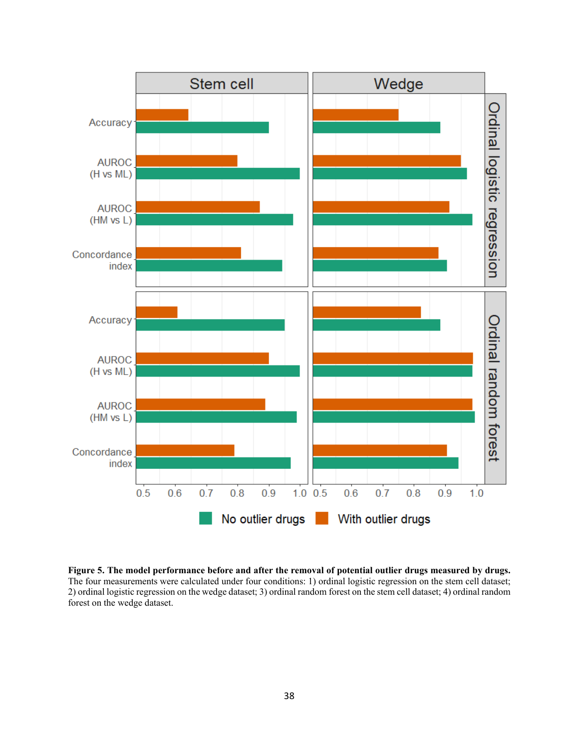

**Figure 5. The model performance before and after the removal of potential outlier drugs measured by drugs.**  The four measurements were calculated under four conditions: 1) ordinal logistic regression on the stem cell dataset; 2) ordinal logistic regression on the wedge dataset; 3) ordinal random forest on the stem cell dataset; 4) ordinal random forest on the wedge dataset.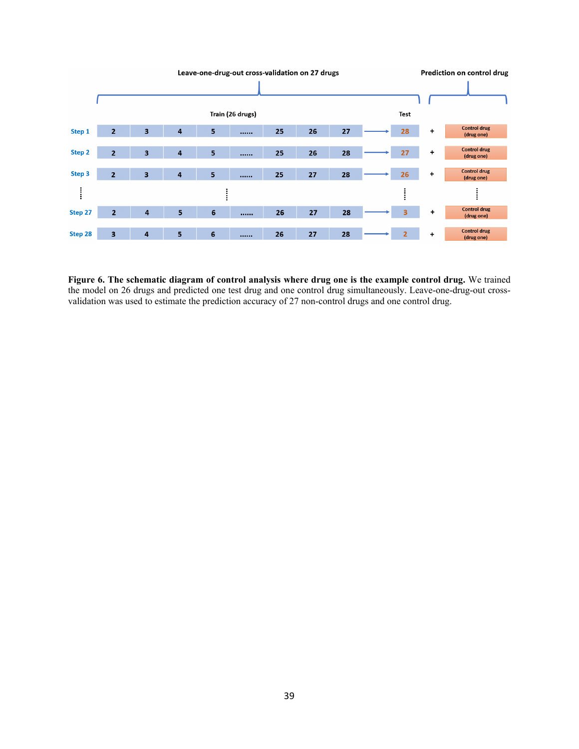

**Figure 6. The schematic diagram of control analysis where drug one is the example control drug.** We trained the model on 26 drugs and predicted one test drug and one control drug simultaneously. Leave-one-drug-out crossvalidation was used to estimate the prediction accuracy of 27 non-control drugs and one control drug.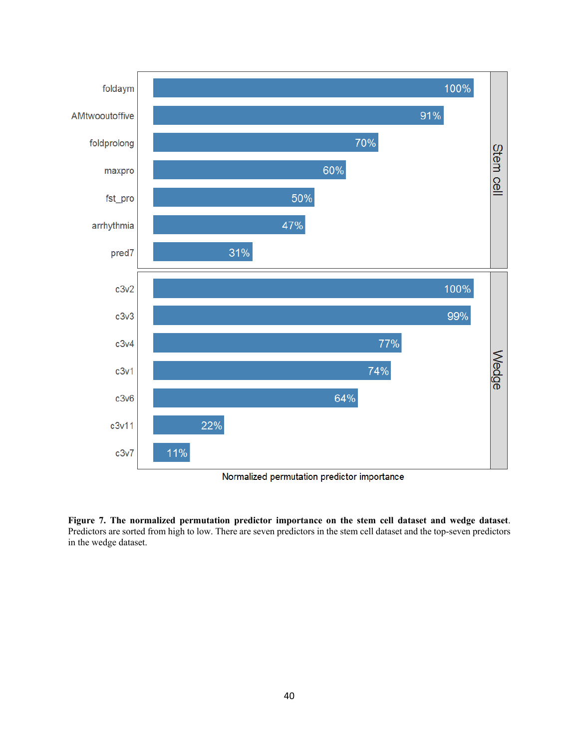

Normalized permutation predictor importance

**Figure 7. The normalized permutation predictor importance on the stem cell dataset and wedge dataset**. Predictors are sorted from high to low. There are seven predictors in the stem cell dataset and the top-seven predictors in the wedge dataset.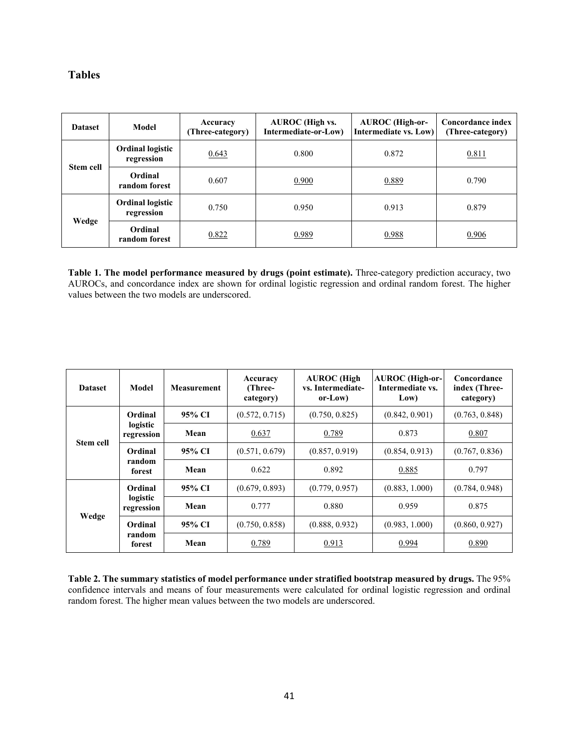## **Tables**

| <b>Dataset</b>   | Model                                 | Accuracy<br>(Three-category) | <b>AUROC</b> (High vs.<br>Intermediate-or-Low) | <b>AUROC</b> (High-or-<br>Intermediate vs. Low) | Concordance index<br>(Three-category) |
|------------------|---------------------------------------|------------------------------|------------------------------------------------|-------------------------------------------------|---------------------------------------|
| <b>Stem cell</b> | <b>Ordinal logistic</b><br>regression | 0.643                        | 0.800                                          | 0.872                                           | 0.811                                 |
|                  | Ordinal<br>random forest              | 0.607                        | 0.900                                          | 0.889                                           | 0.790                                 |
|                  | <b>Ordinal logistic</b><br>regression | 0.750                        | 0.950                                          | 0.913                                           | 0.879                                 |
| Wedge            | Ordinal<br>random forest              | 0.822                        | 0.989                                          | 0.988                                           | 0.906                                 |

**Table 1. The model performance measured by drugs (point estimate).** Three-category prediction accuracy, two AUROCs, and concordance index are shown for ordinal logistic regression and ordinal random forest. The higher values between the two models are underscored.

| <b>Dataset</b> | Model                       | <b>Measurement</b> | Accuracy<br>(Three-<br>category) | <b>AUROC</b> (High<br>vs. Intermediate-<br>or-Low) | <b>AUROC</b> (High-or-<br>Intermediate vs.<br>Low) | Concordance<br>index (Three-<br>category) |
|----------------|-----------------------------|--------------------|----------------------------------|----------------------------------------------------|----------------------------------------------------|-------------------------------------------|
| Ordinal        |                             | 95% CI             | (0.572, 0.715)                   | (0.750, 0.825)                                     | (0.842, 0.901)                                     | (0.763, 0.848)                            |
| Stem cell      | logistic<br>regression      | Mean               | 0.637                            | 0.789                                              | 0.873                                              | 0.807                                     |
|                | Ordinal<br>random<br>forest | 95% CI             | (0.571, 0.679)                   | (0.857, 0.919)                                     | (0.854, 0.913)                                     | (0.767, 0.836)                            |
|                |                             | Mean               | 0.622                            | 0.892                                              | 0.885                                              | 0.797                                     |
| Wedge          | Ordinal                     | 95% CI             | (0.679, 0.893)                   | (0.779, 0.957)                                     | (0.883, 1.000)                                     | (0.784, 0.948)                            |
|                | logistic<br>regression      | Mean               | 0.777                            | 0.880                                              | 0.959                                              | 0.875                                     |
|                | Ordinal<br>random<br>forest | 95% CI             | (0.750, 0.858)                   | (0.888, 0.932)                                     | (0.983, 1.000)                                     | (0.860, 0.927)                            |
|                |                             | Mean               | 0.789                            | 0.913                                              | 0.994                                              | 0.890                                     |

**Table 2. The summary statistics of model performance under stratified bootstrap measured by drugs.** The 95% confidence intervals and means of four measurements were calculated for ordinal logistic regression and ordinal random forest. The higher mean values between the two models are underscored.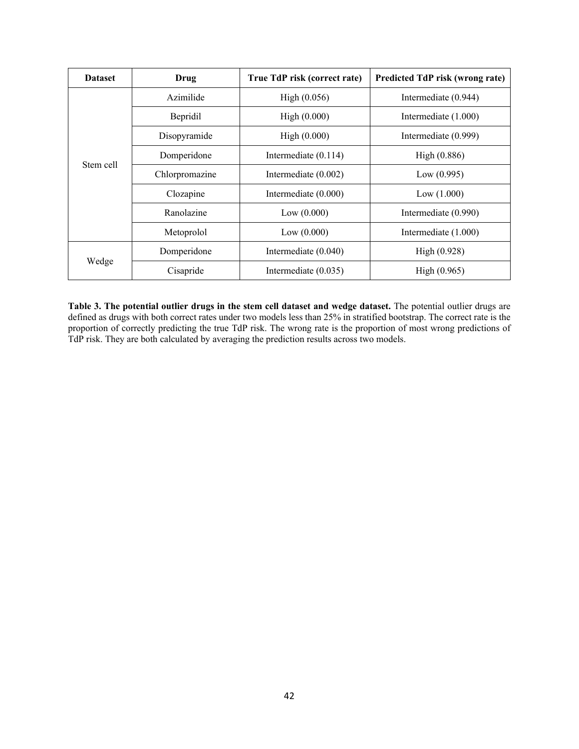| <b>Dataset</b> | Drug           | True TdP risk (correct rate) | Predicted TdP risk (wrong rate) |
|----------------|----------------|------------------------------|---------------------------------|
|                | Azimilide      | High (0.056)                 | Intermediate (0.944)            |
|                | Bepridil       | High (0.000)                 | Intermediate (1.000)            |
|                | Disopyramide   | High (0.000)                 | Intermediate (0.999)            |
| Stem cell      | Domperidone    | Intermediate $(0.114)$       | High (0.886)                    |
|                | Chlorpromazine | Intermediate $(0.002)$       | Low (0.995)                     |
|                | Clozapine      | Intermediate (0.000)         | Low (1.000)                     |
|                | Ranolazine     | Low (0.000)                  | Intermediate (0.990)            |
|                | Metoprolol     | Low (0.000)                  | Intermediate (1.000)            |
| Wedge          | Domperidone    | Intermediate (0.040)         | High (0.928)                    |
|                | Cisapride      | Intermediate (0.035)         | High (0.965)                    |

**Table 3. The potential outlier drugs in the stem cell dataset and wedge dataset.** The potential outlier drugs are defined as drugs with both correct rates under two models less than 25% in stratified bootstrap. The correct rate is the proportion of correctly predicting the true TdP risk. The wrong rate is the proportion of most wrong predictions of TdP risk. They are both calculated by averaging the prediction results across two models.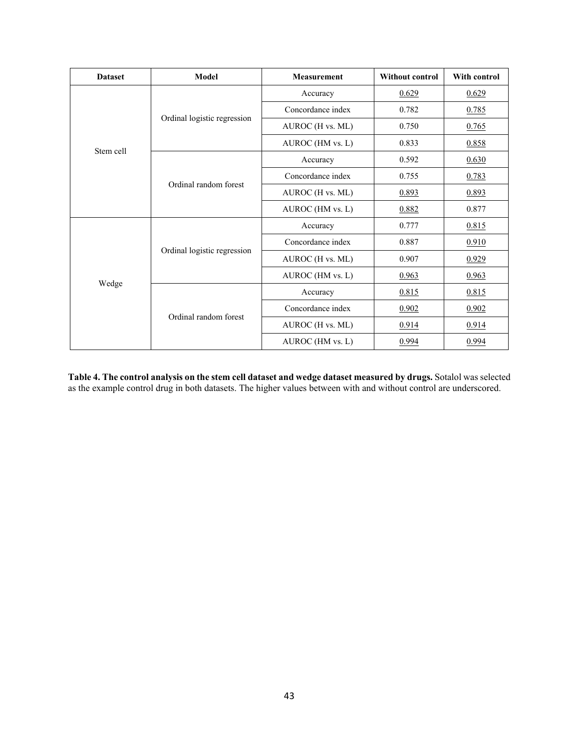| <b>Dataset</b> | Model<br><b>Measurement</b> |                   | <b>Without control</b> | With control |
|----------------|-----------------------------|-------------------|------------------------|--------------|
|                |                             | Accuracy          | 0.629                  | 0.629        |
|                |                             | Concordance index | 0.782                  | 0.785        |
|                | Ordinal logistic regression | AUROC (H vs. ML)  | 0.750                  | 0.765        |
| Stem cell      |                             | AUROC (HM vs. L)  | 0.833                  | 0.858        |
|                |                             | Accuracy          | 0.592                  | 0.630        |
|                | Ordinal random forest       | Concordance index | 0.755                  | 0.783        |
|                |                             | AUROC (H vs. ML)  | 0.893                  | 0.893        |
|                |                             | AUROC (HM vs. L)  | 0.882                  | 0.877        |
|                |                             | Accuracy          | 0.777                  | 0.815        |
|                | Ordinal logistic regression | Concordance index | 0.887                  | 0.910        |
|                |                             | AUROC (H vs. ML)  | 0.907                  | 0.929        |
|                |                             | AUROC (HM vs. L)  | 0.963                  | 0.963        |
| Wedge          |                             | Accuracy          | 0.815                  | 0.815        |
|                | Ordinal random forest       | Concordance index | 0.902                  | 0.902        |
|                |                             | AUROC (H vs. ML)  | 0.914                  | 0.914        |
|                |                             | AUROC (HM vs. L)  | 0.994                  | 0.994        |

**Table 4. The control analysis on the stem cell dataset and wedge dataset measured by drugs.** Sotalol was selected as the example control drug in both datasets. The higher values between with and without control are underscored.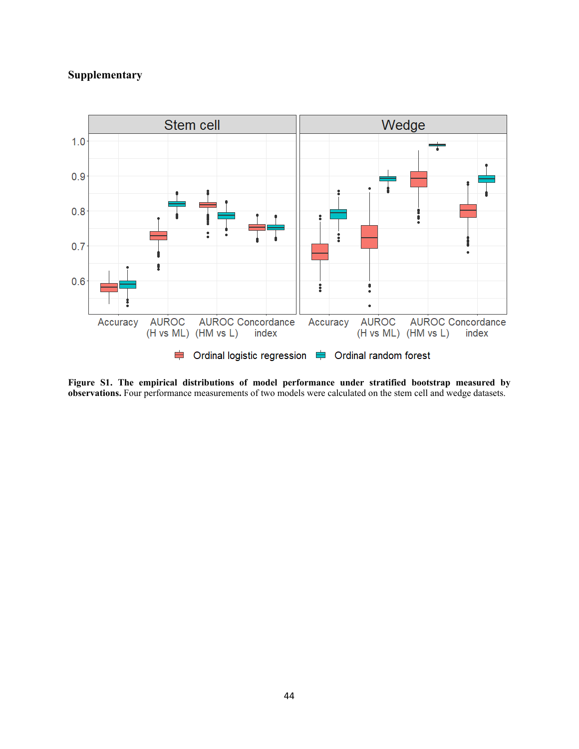## **Supplementary**



**Figure S1. The empirical distributions of model performance under stratified bootstrap measured by observations.** Four performance measurements of two models were calculated on the stem cell and wedge datasets.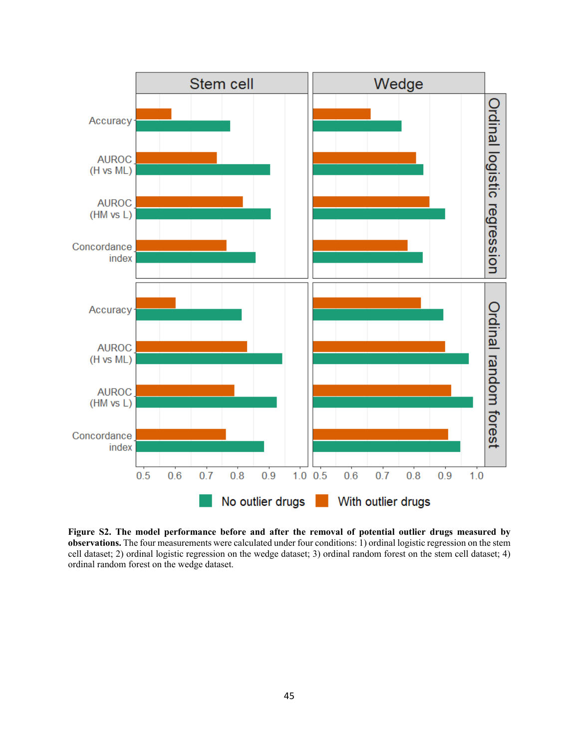

**Figure S2. The model performance before and after the removal of potential outlier drugs measured by observations.** The four measurements were calculated under four conditions: 1) ordinal logistic regression on the stem cell dataset; 2) ordinal logistic regression on the wedge dataset; 3) ordinal random forest on the stem cell dataset; 4) ordinal random forest on the wedge dataset.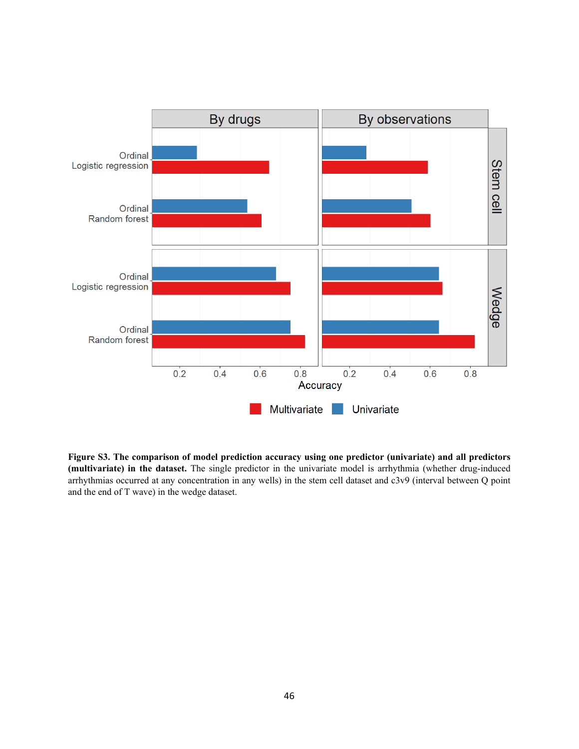

**Figure S3. The comparison of model prediction accuracy using one predictor (univariate) and all predictors (multivariate) in the dataset.** The single predictor in the univariate model is arrhythmia (whether drug-induced arrhythmias occurred at any concentration in any wells) in the stem cell dataset and c3v9 (interval between Q point and the end of T wave) in the wedge dataset.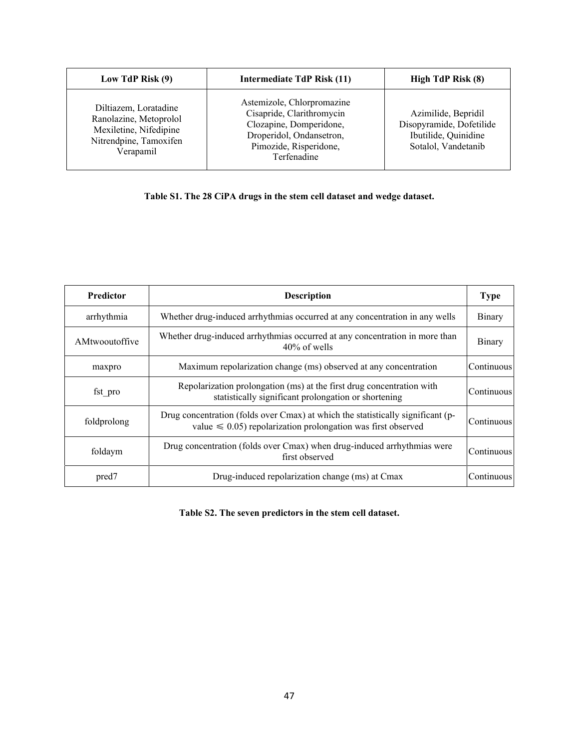| Low TdP Risk (9)                                                                                                 | Intermediate TdP Risk (11)                                                                                                                              | High TdP Risk (8)                                                                              |
|------------------------------------------------------------------------------------------------------------------|---------------------------------------------------------------------------------------------------------------------------------------------------------|------------------------------------------------------------------------------------------------|
| Diltiazem, Loratadine<br>Ranolazine, Metoprolol<br>Mexiletine, Nifedipine<br>Nitrendpine, Tamoxifen<br>Verapamil | Astemizole, Chlorpromazine<br>Cisapride, Clarithromycin<br>Clozapine, Domperidone,<br>Droperidol, Ondansetron,<br>Pimozide, Risperidone,<br>Terfenadine | Azimilide, Bepridil<br>Disopyramide, Dofetilide<br>Ibutilide, Quinidine<br>Sotalol, Vandetanib |

## **Table S1. The 28 CiPA drugs in the stem cell dataset and wedge dataset.**

| <b>Predictor</b>                                                                                                                         | <b>Description</b>                                                                                                                                    |            |
|------------------------------------------------------------------------------------------------------------------------------------------|-------------------------------------------------------------------------------------------------------------------------------------------------------|------------|
| arrhythmia                                                                                                                               | Whether drug-induced arrhythmias occurred at any concentration in any wells                                                                           |            |
| AMtwooutoffive                                                                                                                           | Whether drug-induced arrhythmias occurred at any concentration in more than<br>$40\%$ of wells                                                        |            |
| maxpro                                                                                                                                   | Maximum repolarization change (ms) observed at any concentration                                                                                      |            |
| Repolarization prolongation (ms) at the first drug concentration with<br>fst pro<br>statistically significant prolongation or shortening |                                                                                                                                                       | Continuous |
| foldprolong                                                                                                                              | Drug concentration (folds over Cmax) at which the statistically significant (p-<br>value $\leq 0.05$ ) repolarization prolongation was first observed |            |
| Drug concentration (folds over Cmax) when drug-induced arrhythmias were<br>foldaym<br>first observed                                     |                                                                                                                                                       | Continuous |
| pred7                                                                                                                                    | Drug-induced repolarization change (ms) at Cmax                                                                                                       | Continuous |

## **Table S2. The seven predictors in the stem cell dataset.**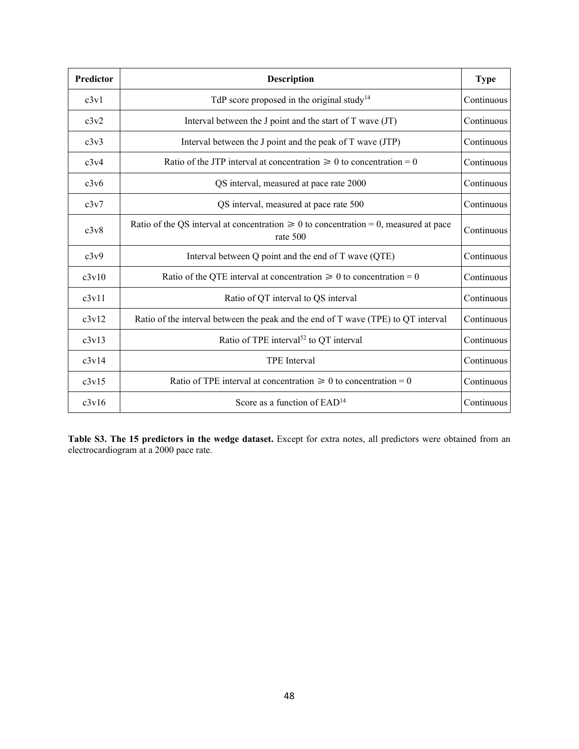| Predictor | <b>Description</b>                                                                                    |            |  |  |
|-----------|-------------------------------------------------------------------------------------------------------|------------|--|--|
| c3v1      | TdP score proposed in the original study <sup>14</sup>                                                | Continuous |  |  |
| c3v2      | Interval between the J point and the start of $T$ wave $(T)$                                          | Continuous |  |  |
| c3v3      | Interval between the J point and the peak of T wave (JTP)                                             | Continuous |  |  |
| c3v4      | Ratio of the JTP interval at concentration $\geq 0$ to concentration = 0                              | Continuous |  |  |
| c3v6      | QS interval, measured at pace rate 2000                                                               | Continuous |  |  |
| c3v7      | QS interval, measured at pace rate 500                                                                | Continuous |  |  |
| c3v8      | Ratio of the QS interval at concentration $\geq 0$ to concentration = 0, measured at pace<br>rate 500 | Continuous |  |  |
| c3v9      | Interval between Q point and the end of T wave (QTE)                                                  | Continuous |  |  |
| c3v10     | Ratio of the QTE interval at concentration $\geq 0$ to concentration = 0                              | Continuous |  |  |
| c3v11     | Ratio of QT interval to QS interval                                                                   | Continuous |  |  |
| c3v12     | Ratio of the interval between the peak and the end of T wave (TPE) to QT interval                     | Continuous |  |  |
| c3v13     | Ratio of TPE interval <sup>52</sup> to QT interval                                                    | Continuous |  |  |
| c3v14     | <b>TPE</b> Interval                                                                                   | Continuous |  |  |
| c3v15     | Ratio of TPE interval at concentration $\geq 0$ to concentration = 0                                  | Continuous |  |  |
| c3v16     | Score as a function of $EAD14$                                                                        | Continuous |  |  |

**Table S3. The 15 predictors in the wedge dataset.** Except for extra notes, all predictors were obtained from an electrocardiogram at a 2000 pace rate.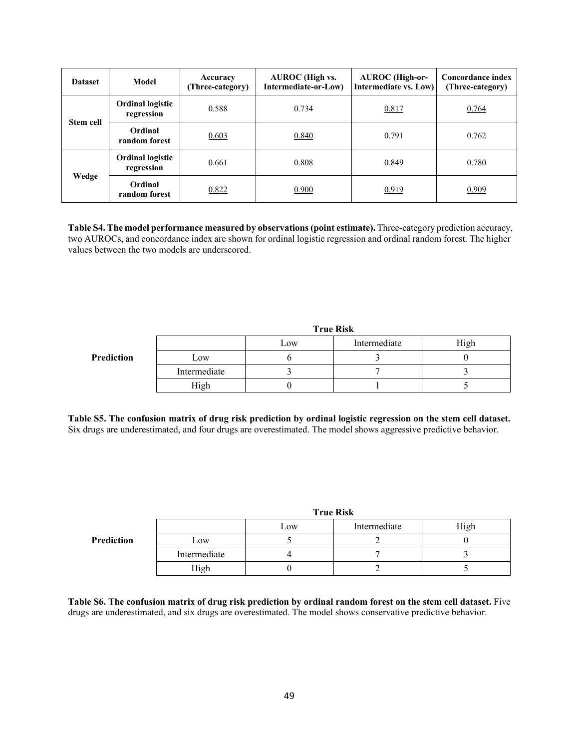| <b>Dataset</b>   | Model                                 | Accuracy<br>(Three-category) | <b>AUROC</b> (High vs.<br>Intermediate-or-Low) | <b>AUROC</b> (High-or-<br>Intermediate vs. Low) | Concordance index<br>(Three-category) |
|------------------|---------------------------------------|------------------------------|------------------------------------------------|-------------------------------------------------|---------------------------------------|
|                  | <b>Ordinal logistic</b><br>regression | 0.588                        | 0.734                                          | 0.817                                           | 0.764                                 |
| <b>Stem cell</b> | Ordinal<br>random forest              | 0.603                        | 0.840                                          | 0.791                                           | 0.762                                 |
|                  | <b>Ordinal logistic</b><br>regression | 0.661                        | 0.808                                          | 0.849                                           | 0.780                                 |
| Wedge            | Ordinal<br>random forest              | 0.822                        | 0.900                                          | 0.919                                           | 0.909                                 |

**Table S4. The model performance measured by observations (point estimate).** Three-category prediction accuracy, two AUROCs, and concordance index are shown for ordinal logistic regression and ordinal random forest. The higher values between the two models are underscored.

|            | <b>True Risk</b> |     |              |      |  |
|------------|------------------|-----|--------------|------|--|
|            |                  | Low | Intermediate | High |  |
| Prediction | Low              |     |              |      |  |
|            | Intermediate     |     |              |      |  |
|            | High             |     |              |      |  |

**Table S5. The confusion matrix of drug risk prediction by ordinal logistic regression on the stem cell dataset.**  Six drugs are underestimated, and four drugs are overestimated. The model shows aggressive predictive behavior.

|            | <b>True Risk</b> |     |              |      |  |
|------------|------------------|-----|--------------|------|--|
|            |                  | Low | Intermediate | High |  |
| Prediction | Low              |     |              |      |  |
|            | Intermediate     |     |              |      |  |
|            | High             |     |              |      |  |

**Table S6. The confusion matrix of drug risk prediction by ordinal random forest on the stem cell dataset.** Five drugs are underestimated, and six drugs are overestimated. The model shows conservative predictive behavior.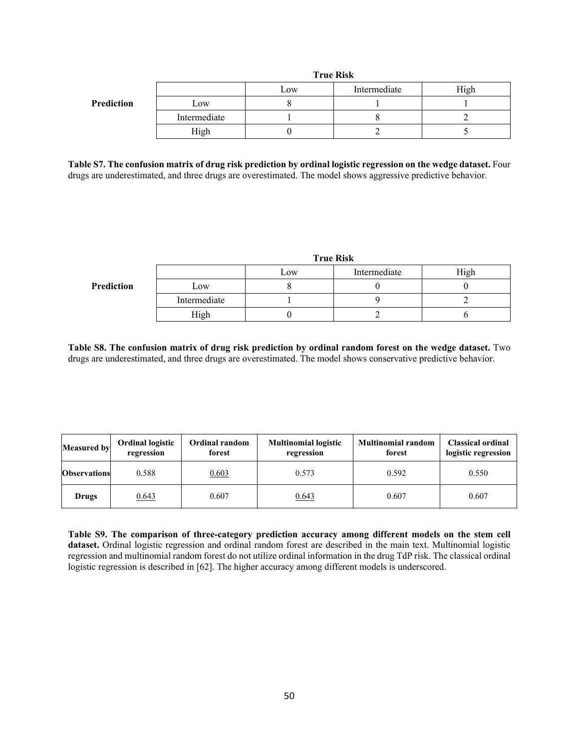|            |              | Low | Intermediate | High |
|------------|--------------|-----|--------------|------|
| Prediction | Low          |     |              |      |
|            | Intermediate |     |              |      |
|            | High         |     |              |      |

**True Risk**

**Table S7. The confusion matrix of drug risk prediction by ordinal logistic regression on the wedge dataset.** Four drugs are underestimated, and three drugs are overestimated. The model shows aggressive predictive behavior.

| <b>True Risk</b> |     |              |      |  |  |
|------------------|-----|--------------|------|--|--|
|                  | Low | Intermediate | High |  |  |
| Low              |     |              |      |  |  |
| Intermediate     |     |              |      |  |  |
| High             |     |              |      |  |  |
|                  |     |              |      |  |  |

**Table S8. The confusion matrix of drug risk prediction by ordinal random forest on the wedge dataset.** Two drugs are underestimated, and three drugs are overestimated. The model shows conservative predictive behavior.

| <b>Measured by</b>  | <b>Ordinal logistic</b><br>Ordinal random<br>forest<br>regression |       | <b>Multinomial logistic</b><br>regression | <b>Multinomial random</b><br>forest | <b>Classical ordinal</b><br>logistic regression |
|---------------------|-------------------------------------------------------------------|-------|-------------------------------------------|-------------------------------------|-------------------------------------------------|
| <b>Observations</b> | 0.588                                                             | 0.603 | 0.573                                     | 0.592                               | 0.550                                           |
| Drugs               | 0.643                                                             |       | 0.643                                     | 0.607                               | 0.607                                           |

**Table S9. The comparison of three-category prediction accuracy among different models on the stem cell dataset.** Ordinal logistic regression and ordinal random forest are described in the main text. Multinomial logistic regression and multinomial random forest do not utilize ordinal information in the drug TdP risk. The classical ordinal logistic regression is described in [62]. The higher accuracy among different models is underscored.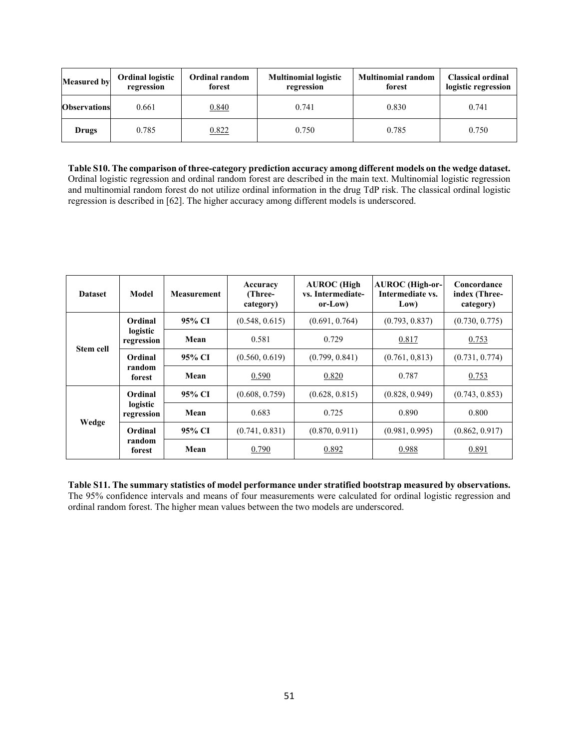| <b>Measured by</b>  | <b>Ordinal random</b><br><b>Ordinal logistic</b><br>forest<br>regression |  | <b>Multinomial logistic</b><br>regression | <b>Multinomial random</b><br>forest | <b>Classical ordinal</b><br>logistic regression |
|---------------------|--------------------------------------------------------------------------|--|-------------------------------------------|-------------------------------------|-------------------------------------------------|
| <b>Observations</b> | 0.661<br>0.840                                                           |  | 0.741                                     | 0.830                               | 0.741                                           |
| Drugs               | 0.822<br>0.785                                                           |  | 0.750                                     | 0.785                               | 0.750                                           |

**Table S10. The comparison of three-category prediction accuracy among different models on the wedge dataset.** Ordinal logistic regression and ordinal random forest are described in the main text. Multinomial logistic regression and multinomial random forest do not utilize ordinal information in the drug TdP risk. The classical ordinal logistic regression is described in [62]. The higher accuracy among different models is underscored.

| <b>Dataset</b>   | Model                             | <b>Measurement</b> | Accuracy<br>(Three-<br>category) | <b>AUROC</b> (High<br>vs. Intermediate-<br>or-Low) | <b>AUROC</b> (High-or-<br>Intermediate vs.<br>Low) | Concordance<br>index (Three-<br>category) |
|------------------|-----------------------------------|--------------------|----------------------------------|----------------------------------------------------|----------------------------------------------------|-------------------------------------------|
| <b>Stem cell</b> | Ordinal<br>logistic<br>regression | 95% CI             | (0.548, 0.615)                   | (0.691, 0.764)                                     | (0.793, 0.837)                                     | (0.730, 0.775)                            |
|                  |                                   | Mean               | 0.581                            | 0.729                                              | 0.817                                              | 0.753                                     |
|                  | Ordinal<br>random<br>forest       | 95% CI             | (0.560, 0.619)                   | (0.799, 0.841)                                     | (0.761, 0.813)                                     | (0.731, 0.774)                            |
|                  |                                   | Mean               | 0.590                            | 0.820                                              | 0.787                                              | 0.753                                     |
| Wedge            | Ordinal<br>logistic<br>regression | 95% CI             | (0.608, 0.759)                   | (0.628, 0.815)                                     | (0.828, 0.949)                                     | (0.743, 0.853)                            |
|                  |                                   | Mean               | 0.683                            | 0.725                                              | 0.890                                              | 0.800                                     |
|                  | Ordinal<br>random<br>forest       | 95% CI             | (0.741, 0.831)                   | (0.870, 0.911)                                     | (0.981, 0.995)                                     | (0.862, 0.917)                            |
|                  |                                   | Mean               | 0.790                            | 0.892                                              | 0.988                                              | 0.891                                     |

**Table S11. The summary statistics of model performance under stratified bootstrap measured by observations.** The 95% confidence intervals and means of four measurements were calculated for ordinal logistic regression and ordinal random forest. The higher mean values between the two models are underscored.